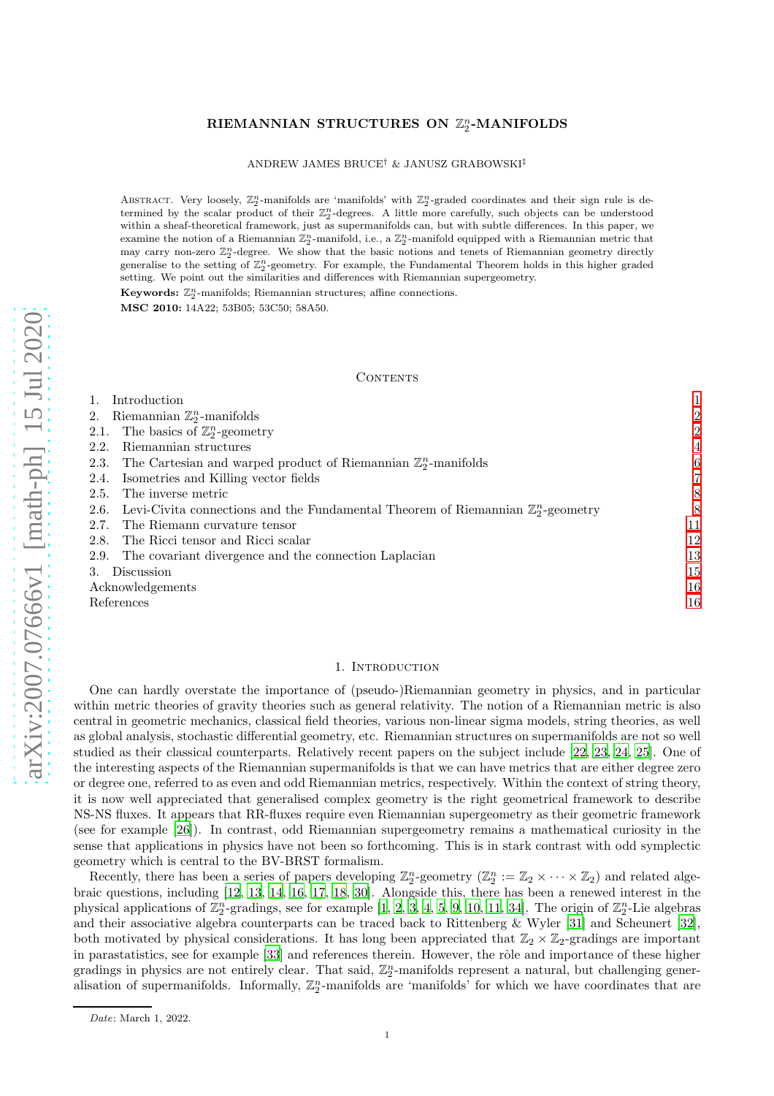# RIEMANNIAN STRUCTURES ON  $\mathbb{Z}_2^n$ -MANIFOLDS

ANDREW JAMES BRUCE† & JANUSZ GRABOWSKI‡

ABSTRACT. Very loosely,  $\mathbb{Z}_2^n$ -manifolds are 'manifolds' with  $\mathbb{Z}_2^n$ -graded coordinates and their sign rule is determined by the scalar product of their  $\mathbb{Z}_2^n$ -degrees. A little more carefully, such objects can be understood within a sheaf-theoretical framework, just as supermanifolds can, but with subtle differences. In this paper, we examine the notion of a Riemannian  $\mathbb{Z}_2^n$ -manifold, i.e., a  $\mathbb{Z}_2^n$ -manifold equipped with a Riemannian metric that may carry non-zero  $\mathbb{Z}_2^n$ -degree. We show that the basic notions and tenets of Riemannian geometry directly generalise to the setting of  $\mathbb{Z}_2^n$ -geometry. For example, the Fundamental Theorem holds in this higher graded setting. We point out the similarities and differences with Riemannian supergeometry.

Keywords:  $\mathbb{Z}_2^n$ -manifolds; Riemannian structures; affine connections. MSC 2010: 14A22; 53B05; 53C50; 58A50.

#### **CONTENTS**

| Introduction                                                                                         |                |
|------------------------------------------------------------------------------------------------------|----------------|
| Riemannian $\mathbb{Z}_2^n$ -manifolds<br>2.                                                         | $\overline{2}$ |
| The basics of $\mathbb{Z}_2^n$ -geometry<br>2.1.                                                     | $\overline{2}$ |
| Riemannian structures<br>2.2.                                                                        | $\overline{4}$ |
| The Cartesian and warped product of Riemannian $\mathbb{Z}_2^n$ -manifolds<br>2.3.                   | 6              |
| Isometries and Killing vector fields<br>2.4.                                                         | 7              |
| The inverse metric<br>2.5.                                                                           | 8              |
| Levi-Civita connections and the Fundamental Theorem of Riemannian $\mathbb{Z}_2^n$ -geometry<br>2.6. | 8              |
| The Riemann curvature tensor<br>2.7.                                                                 | 11             |
| The Ricci tensor and Ricci scalar<br>2.8.                                                            | 12             |
| The covariant divergence and the connection Laplacian<br>2.9.                                        | 13             |
| Discussion                                                                                           | 15             |
| Acknowledgements                                                                                     | 16             |
| References                                                                                           | 16             |

### 1. INTRODUCTION

<span id="page-0-0"></span>One can hardly overstate the importance of (pseudo-)Riemannian geometry in physics, and in particular within metric theories of gravity theories such as general relativity. The notion of a Riemannian metric is also central in geometric mechanics, classical field theories, various non-linear sigma models, string theories, as well as global analysis, stochastic differential geometry, etc. Riemannian structures on supermanifolds are not so well studied as their classical counterparts. Relatively recent papers on the subject include [\[22,](#page-16-0) [23,](#page-16-1) [24,](#page-16-2) [25](#page-16-3)]. One of the interesting aspects of the Riemannian supermanifolds is that we can have metrics that are either degree zero or degree one, referred to as even and odd Riemannian metrics, respectively. Within the context of string theory, it is now well appreciated that generalised complex geometry is the right geometrical framework to describe NS-NS fluxes. It appears that RR-fluxes require even Riemannian supergeometry as their geometric framework (see for example [\[26\]](#page-16-4)). In contrast, odd Riemannian supergeometry remains a mathematical curiosity in the sense that applications in physics have not been so forthcoming. This is in stark contrast with odd symplectic geometry which is central to the BV-BRST formalism.

Recently, there has been a series of papers developing  $\mathbb{Z}_2^n$ -geometry  $(\mathbb{Z}_2^n := \mathbb{Z}_2 \times \cdots \times \mathbb{Z}_2)$  and related algebraic questions, including [\[12,](#page-15-2) [13,](#page-15-3) [14](#page-15-4), [16,](#page-15-5) [17,](#page-15-6) [18](#page-15-7), [30\]](#page-16-5). Alongside this, there has been a renewed interest in the physical applications of  $\mathbb{Z}_2^n$ -gradings, see for example [\[1,](#page-15-8) [2,](#page-15-9) [3,](#page-15-10) [4,](#page-15-11) [5,](#page-15-12) [9,](#page-15-13) [10,](#page-15-14) [11,](#page-15-15) [34](#page-16-6)]. The origin of  $\mathbb{Z}_2^n$ -Lie algebras and their associative algebra counterparts can be traced back to Rittenberg & Wyler [\[31\]](#page-16-7) and Scheunert [\[32](#page-16-8)], both motivated by physical considerations. It has long been appreciated that  $\mathbb{Z}_2 \times \mathbb{Z}_2$ -gradings are important in parastatistics, see for example [\[33](#page-16-9)] and references therein. However, the rôle and importance of these higher gradings in physics are not entirely clear. That said,  $\mathbb{Z}_2^n$ -manifolds represent a natural, but challenging generalisation of supermanifolds. Informally,  $\mathbb{Z}_2^n$ -manifolds are 'manifolds' for which we have coordinates that are

Date: March 1, 2022.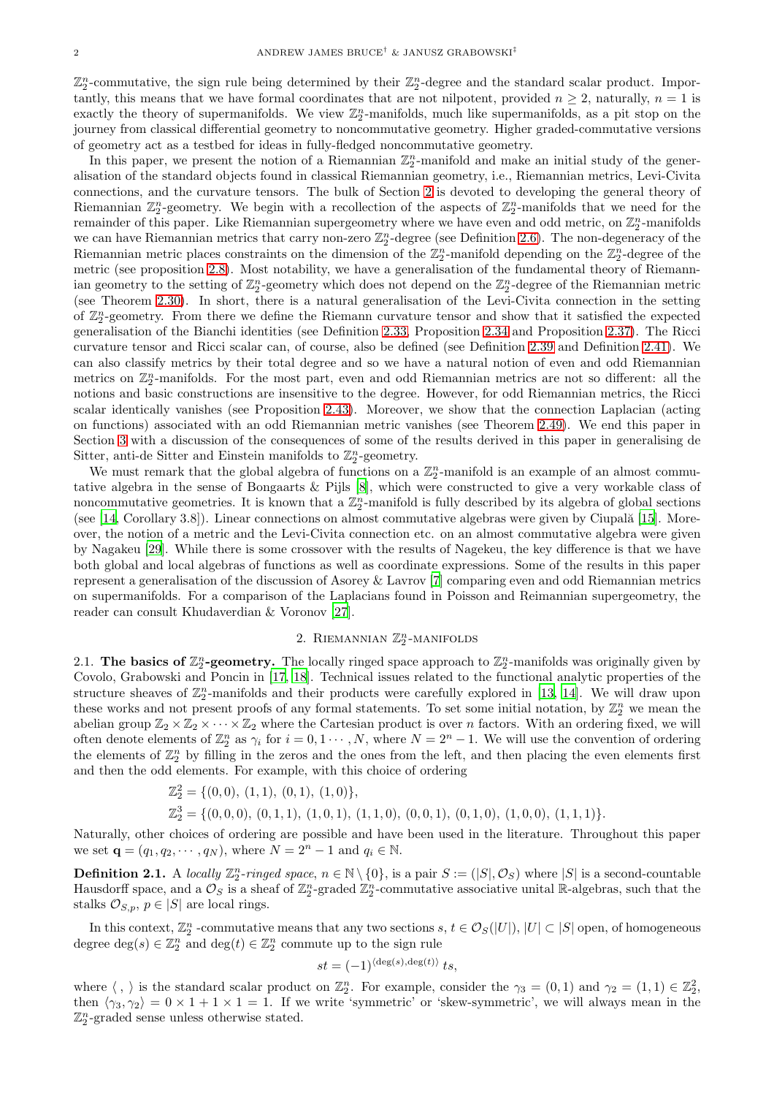$\mathbb{Z}_2^n$ -commutative, the sign rule being determined by their  $\mathbb{Z}_2^n$ -degree and the standard scalar product. Importantly, this means that we have formal coordinates that are not nilpotent, provided  $n \geq 2$ , naturally,  $n = 1$  is exactly the theory of supermanifolds. We view  $\mathbb{Z}_2^n$ -manifolds, much like supermanifolds, as a pit stop on the journey from classical differential geometry to noncommutative geometry. Higher graded-commutative versions of geometry act as a testbed for ideas in fully-fledged noncommutative geometry.

In this paper, we present the notion of a Riemannian  $\mathbb{Z}_2^n$ -manifold and make an initial study of the generalisation of the standard objects found in classical Riemannian geometry, i.e., Riemannian metrics, Levi-Civita connections, and the curvature tensors. The bulk of Section [2](#page-1-0) is devoted to developing the general theory of Riemannian  $\mathbb{Z}_2^n$ -geometry. We begin with a recollection of the aspects of  $\mathbb{Z}_2^n$ -manifolds that we need for the remainder of this paper. Like Riemannian supergeometry where we have even and odd metric, on  $\mathbb{Z}_2^n$ -manifolds we can have Riemannian metrics that carry non-zero  $\mathbb{Z}_2^n$ -degree (see Definition [2.6\)](#page-3-1). The non-degeneracy of the Riemannian metric places constraints on the dimension of the  $\mathbb{Z}_2^n$ -manifold depending on the  $\mathbb{Z}_2^n$ -degree of the metric (see proposition [2.8\)](#page-3-2). Most notability, we have a generalisation of the fundamental theory of Riemannian geometry to the setting of  $\mathbb{Z}_2^n$ -geometry which does not depend on the  $\mathbb{Z}_2^n$ -degree of the Riemannian metric (see Theorem [2.30\)](#page-9-0). In short, there is a natural generalisation of the Levi-Civita connection in the setting of  $\mathbb{Z}_2^n$ -geometry. From there we define the Riemann curvature tensor and show that it satisfied the expected generalisation of the Bianchi identities (see Definition [2.33,](#page-10-1) Proposition [2.34](#page-10-2) and Proposition [2.37\)](#page-11-1). The Ricci curvature tensor and Ricci scalar can, of course, also be defined (see Definition [2.39](#page-11-2) and Definition [2.41\)](#page-12-1). We can also classify metrics by their total degree and so we have a natural notion of even and odd Riemannian metrics on  $\mathbb{Z}_2^n$ -manifolds. For the most part, even and odd Riemannian metrics are not so different: all the notions and basic constructions are insensitive to the degree. However, for odd Riemannian metrics, the Ricci scalar identically vanishes (see Proposition [2.43\)](#page-12-2). Moreover, we show that the connection Laplacian (acting on functions) associated with an odd Riemannian metric vanishes (see Theorem [2.49\)](#page-14-1). We end this paper in Section [3](#page-14-0) with a discussion of the consequences of some of the results derived in this paper in generalising de Sitter, anti-de Sitter and Einstein manifolds to  $\mathbb{Z}_2^n$ -geometry.

We must remark that the global algebra of functions on a  $\mathbb{Z}_2^n$ -manifold is an example of an almost commutative algebra in the sense of Bongaarts & Pijls [\[8](#page-15-16)], which were constructed to give a very workable class of noncommutative geometries. It is known that a  $\mathbb{Z}_2^n$ -manifold is fully described by its algebra of global sections (see  $[14, Corollary 3.8]$ ). Linear connections on almost commutative algebras were given by Ciupală  $[15]$ . Moreover, the notion of a metric and the Levi-Civita connection etc. on an almost commutative algebra were given by Nagakeu [\[29](#page-16-10)]. While there is some crossover with the results of Nagekeu, the key difference is that we have both global and local algebras of functions as well as coordinate expressions. Some of the results in this paper represent a generalisation of the discussion of Asorey & Lavrov [\[7](#page-15-18)] comparing even and odd Riemannian metrics on supermanifolds. For a comparison of the Laplacians found in Poisson and Reimannian supergeometry, the reader can consult Khudaverdian & Voronov [\[27](#page-16-11)].

# 2. RIEMANNIAN  $\mathbb{Z}_2^n$ -MANIFOLDS

<span id="page-1-1"></span><span id="page-1-0"></span>2.1. The basics of  $\mathbb{Z}_2^n$ -geometry. The locally ringed space approach to  $\mathbb{Z}_2^n$ -manifolds was originally given by Covolo, Grabowski and Poncin in [\[17,](#page-15-6) [18\]](#page-15-7). Technical issues related to the functional analytic properties of the structure sheaves of  $\mathbb{Z}_2^n$ -manifolds and their products were carefully explored in [\[13,](#page-15-3) [14\]](#page-15-4). We will draw upon these works and not present proofs of any formal statements. To set some initial notation, by  $\mathbb{Z}_2^n$  we mean the abelian group  $\mathbb{Z}_2 \times \mathbb{Z}_2 \times \cdots \times \mathbb{Z}_2$  where the Cartesian product is over *n* factors. With an ordering fixed, we will often denote elements of  $\mathbb{Z}_2^n$  as  $\gamma_i$  for  $i = 0, 1 \cdots, N$ , where  $N = 2^n - 1$ . We will use the convention of ordering the elements of  $\mathbb{Z}_2^n$  by filling in the zeros and the ones from the left, and then placing the even elements first and then the odd elements. For example, with this choice of ordering

$$
\mathbb{Z}_2^2 = \{ (0,0), (1,1), (0,1), (1,0) \},
$$
  

$$
\mathbb{Z}_2^3 = \{ (0,0,0), (0,1,1), (1,0,1), (1,1,0), (0,0,1), (0,1,0), (1,0,0), (1,1,1) \}.
$$

Naturally, other choices of ordering are possible and have been used in the literature. Throughout this paper we set  ${\bf q} = (q_1, q_2, \cdots, q_N)$ , where  $N = 2^n - 1$  and  $q_i \in \mathbb{N}$ .

**Definition 2.1.** A locally  $\mathbb{Z}_2^n$ -ringed space,  $n \in \mathbb{N} \setminus \{0\}$ , is a pair  $S := (|S|, \mathcal{O}_S)$  where  $|S|$  is a second-countable Hausdorff space, and a  $\mathcal{O}_S$  is a sheaf of  $\mathbb{Z}_2^n$ -graded  $\mathbb{Z}_2^n$ -commutative associative unital R-algebras, such that the stalks  $\mathcal{O}_{S,p}, p \in |S|$  are local rings.

In this context,  $\mathbb{Z}_2^n$  -commutative means that any two sections  $s, t \in \mathcal{O}_S(|U|), |U| \subset |S|$  open, of homogeneous degree  $\deg(s) \in \mathbb{Z}_2^n$  and  $\deg(t) \in \mathbb{Z}_2^n$  commute up to the sign rule

$$
st = (-1)^{\langle \deg(s), \deg(t) \rangle} \, ts,
$$

where  $\langle , \rangle$  is the standard scalar product on  $\mathbb{Z}_2^n$ . For example, consider the  $\gamma_3 = (0,1)$  and  $\gamma_2 = (1,1) \in \mathbb{Z}_2^2$ , then  $\langle \gamma_3, \gamma_2 \rangle = 0 \times 1 + 1 \times 1 = 1$ . If we write 'symmetric' or 'skew-symmetric', we will always mean in the  $\mathbb{Z}_2^n$ -graded sense unless otherwise stated.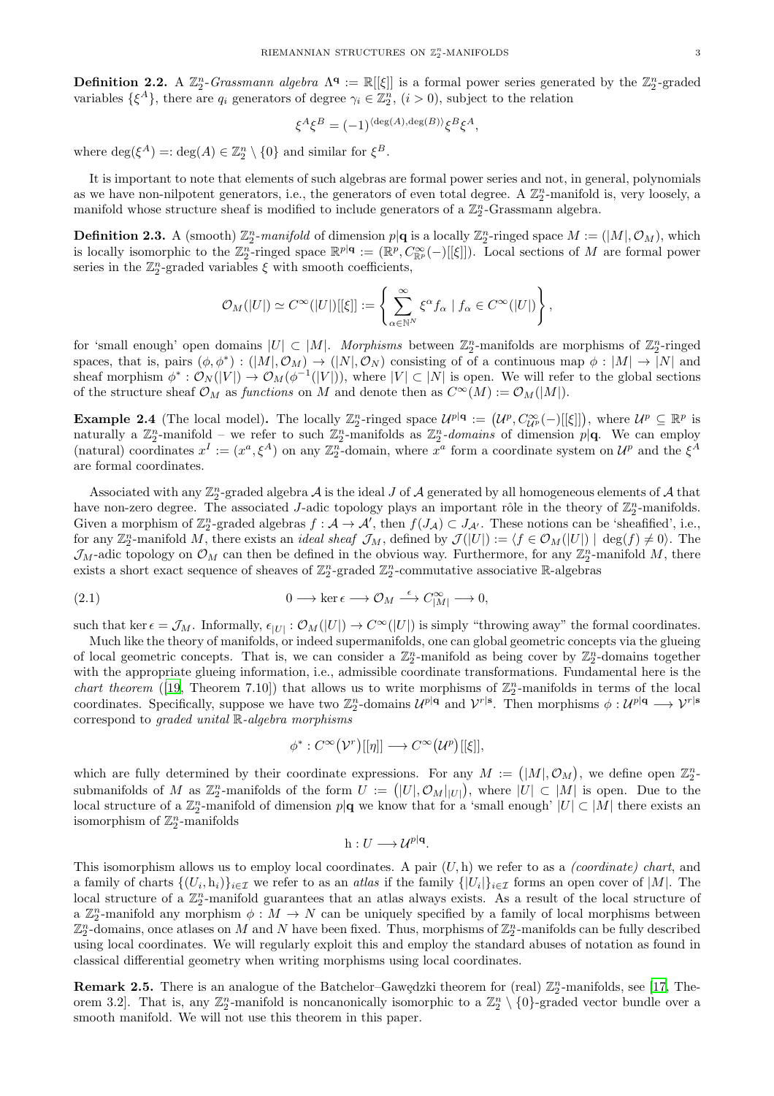**Definition 2.2.** A  $\mathbb{Z}_2^n$ -Grassmann algebra  $\Lambda^q := \mathbb{R}[[\xi]]$  is a formal power series generated by the  $\mathbb{Z}_2^n$ -graded variables  $\{\xi^A\}$ , there are  $q_i$  generators of degree  $\gamma_i \in \mathbb{Z}_2^n$ ,  $(i > 0)$ , subject to the relation

$$
\xi^A \xi^B = (-1)^{\langle \deg(A), \deg(B) \rangle} \xi^B \xi^A,
$$

where  $\deg(\xi^A) =: \deg(A) \in \mathbb{Z}_2^n \setminus \{0\}$  and similar for  $\xi^B$ .

It is important to note that elements of such algebras are formal power series and not, in general, polynomials as we have non-nilpotent generators, i.e., the generators of even total degree. A  $\mathbb{Z}_2^n$ -manifold is, very loosely, a manifold whose structure sheaf is modified to include generators of a  $\mathbb{Z}_2^n$ -Grassmann algebra.

**Definition 2.3.** A (smooth)  $\mathbb{Z}_2^n$ -manifold of dimension  $p|\mathbf{q}$  is a locally  $\mathbb{Z}_2^n$ -ringed space  $M := (|M|, \mathcal{O}_M)$ , which is locally isomorphic to the  $\mathbb{Z}_2^n$ -ringed space  $\mathbb{R}^{p|q}:=(\mathbb{R}^p,C_{\mathbb{R}^p}^{\infty}(-)[[\xi]])$ . Local sections of M are formal power series in the  $\mathbb{Z}_2^n$ -graded variables  $\xi$  with smooth coefficients,

$$
\mathcal{O}_M(|U|) \simeq C^\infty(|U|)[[\xi]] := \left\{ \sum_{\alpha \in \mathbb{N}^N}^{\infty} \xi^{\alpha} f_\alpha \mid f_\alpha \in C^\infty(|U|) \right\},\,
$$

for 'small enough' open domains  $|U| \subset |M|$ . Morphisms between  $\mathbb{Z}_2^n$ -manifolds are morphisms of  $\mathbb{Z}_2^n$ -ringed spaces, that is, pairs  $(\phi, \phi^*) : (M, \mathcal{O}_M) \to (N, \mathcal{O}_N)$  consisting of of a continuous map  $\phi : |M| \to |N|$  and sheaf morphism  $\phi^*: \mathcal{O}_N(|V|) \to \mathcal{O}_M(\phi^{-1}(|V|))$ , where  $|V| \subset |N|$  is open. We will refer to the global sections of the structure sheaf  $\mathcal{O}_M$  as functions on M and denote then as  $C^{\infty}(M) := \mathcal{O}_M(|M|)$ .

**Example 2.4** (The local model). The locally  $\mathbb{Z}_2^n$ -ringed space  $\mathcal{U}^{p|q} := (\mathcal{U}^p, C_{\mathcal{U}^p}^{\infty}(-)[[\xi]])$ , where  $\mathcal{U}^p \subseteq \mathbb{R}^p$  is naturally a  $\mathbb{Z}_2^n$ -manifold – we refer to such  $\mathbb{Z}_2^n$ -manifolds as  $\mathbb{Z}_2^n$ -domains of dimension p|q. We can employ (natural) coordinates  $x^I := (x^a, \xi^A)$  on any  $\mathbb{Z}_2^n$ -domain, where  $x^a$  form a coordinate system on  $\mathcal{U}^p$  and the  $\xi^A$ are formal coordinates.

Associated with any  $\mathbb{Z}_2^n$ -graded algebra  $\mathcal A$  is the ideal  $J$  of  $\mathcal A$  generated by all homogeneous elements of  $\mathcal A$  that have non-zero degree. The associated J-adic topology plays an important rôle in the theory of  $\mathbb{Z}_2^n$ -manifolds. Given a morphism of  $\mathbb{Z}_2^n$ -graded algebras  $f : \mathcal{A} \to \mathcal{A}'$ , then  $f(J_\mathcal{A}) \subset J_{\mathcal{A}'}$ . These notions can be 'sheafified', i.e., for any  $\mathbb{Z}_2^n$ -manifold M, there exists an *ideal sheaf*  $\mathcal{J}_M$ , defined by  $\mathcal{J}(|U|) := \langle f \in \mathcal{O}_M(|U|) | \deg(f) \neq 0 \rangle$ . The  $\mathcal{J}_M$ -adic topology on  $\mathcal{O}_M$  can then be defined in the obvious way. Furthermore, for any  $\mathbb{Z}_2^n$ -manifold M, there exists a short exact sequence of sheaves of  $\mathbb{Z}_2^n$ -graded  $\mathbb{Z}_2^n$ -commutative associative R-algebras

(2.1) 
$$
0 \longrightarrow \ker \epsilon \longrightarrow \mathcal{O}_M \stackrel{\epsilon}{\longrightarrow} C_{|M|}^{\infty} \longrightarrow 0,
$$

such that ker  $\epsilon = \mathcal{J}_M$ . Informally,  $\epsilon_{|U|} : \mathcal{O}_M(|U|) \to C^\infty(|U|)$  is simply "throwing away" the formal coordinates.

Much like the theory of manifolds, or indeed supermanifolds, one can global geometric concepts via the glueing of local geometric concepts. That is, we can consider a  $\mathbb{Z}_2^n$ -manifold as being cover by  $\mathbb{Z}_2^n$ -domains together with the appropriate glueing information, i.e., admissible coordinate transformations. Fundamental here is the chart theorem ([\[19,](#page-15-19) Theorem 7.10]) that allows us to write morphisms of  $\mathbb{Z}_2^n$ -manifolds in terms of the local coordinates. Specifically, suppose we have two  $\mathbb{Z}_2^n$ -domains  $\mathcal{U}^{p|q}$  and  $\mathcal{V}^{r|s}$ . Then morphisms  $\phi: \mathcal{U}^{p|q} \longrightarrow \mathcal{V}^{r|s}$ correspond to graded unital R-algebra morphisms

<span id="page-2-0"></span>
$$
\phi^*: C^{\infty}(\mathcal{V}^r)[[\eta]] \longrightarrow C^{\infty}(\mathcal{U}^p)[[\xi]],
$$

which are fully determined by their coordinate expressions. For any  $M := (|M|, \mathcal{O}_M)$ , we define open  $\mathbb{Z}_2^n$ submanifolds of M as  $\mathbb{Z}_2^n$ -manifolds of the form  $U := (|U|, \mathcal{O}_M|_{|U|})$ , where  $|U| \subset |M|$  is open. Due to the local structure of a  $\mathbb{Z}_2^n$ -manifold of dimension  $p|\mathbf{q}$  we know that for a 'small enough'  $|U| \subset |M|$  there exists an isomorphism of  $\mathbb{Z}_2^n$ -manifolds

$$
h: U \longrightarrow \mathcal{U}^{p|\mathbf{q}}.
$$

This isomorphism allows us to employ local coordinates. A pair  $(U, h)$  we refer to as a *(coordinate) chart*, and a family of charts  $\{(U_i, h_i)\}_{i\in\mathcal{I}}$  we refer to as an *atlas* if the family  $\{|U_i|\}_{i\in\mathcal{I}}$  forms an open cover of  $|M|$ . The local structure of a  $\mathbb{Z}_2^n$ -manifold guarantees that an atlas always exists. As a result of the local structure of a  $\mathbb{Z}_2^n$ -manifold any morphism  $\phi: M \to N$  can be uniquely specified by a family of local morphisms between  $\mathbb{Z}_2^n$ -domains, once atlases on M and N have been fixed. Thus, morphisms of  $\mathbb{Z}_2^n$ -manifolds can be fully described using local coordinates. We will regularly exploit this and employ the standard abuses of notation as found in classical differential geometry when writing morphisms using local coordinates.

**Remark 2.5.** There is an analogue of the Batchelor–Gawçdzki theorem for (real)  $\mathbb{Z}_2^n$ -manifolds, see [\[17,](#page-15-6) Theorem 3.2. That is, any  $\mathbb{Z}_2^n$ -manifold is noncanonically isomorphic to a  $\mathbb{Z}_2^n \setminus \{0\}$ -graded vector bundle over a smooth manifold. We will not use this theorem in this paper.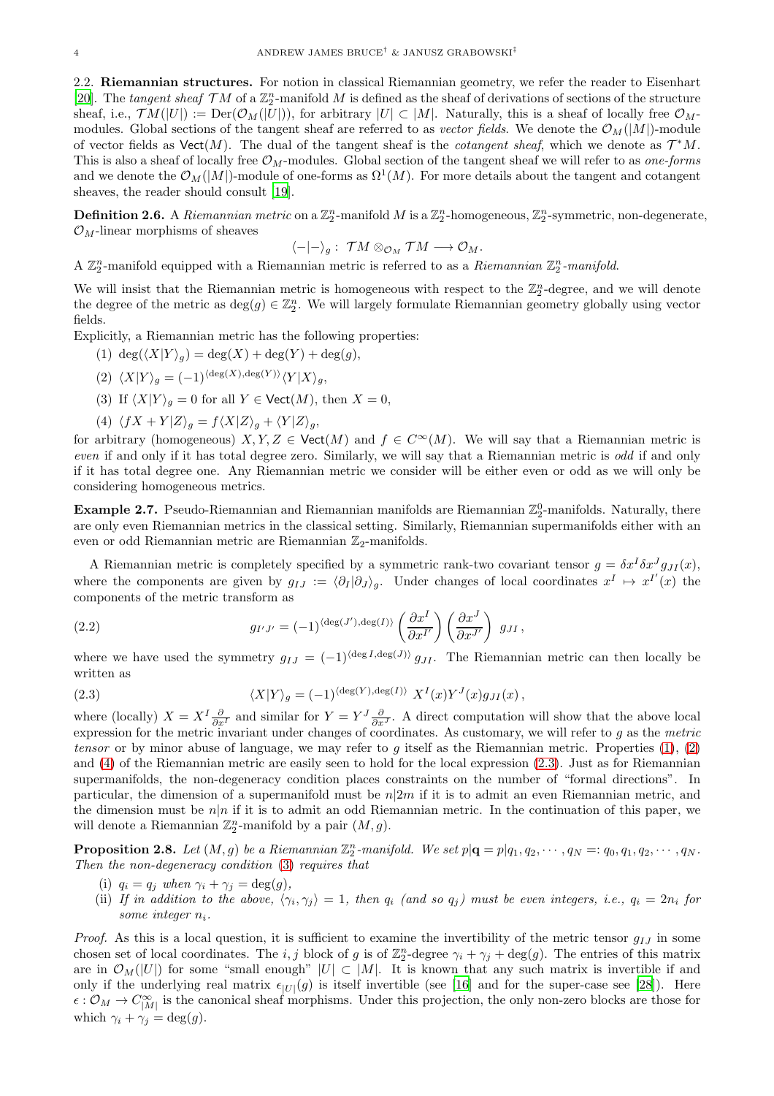<span id="page-3-0"></span>2.2. Riemannian structures. For notion in classical Riemannian geometry, we refer the reader to Eisenhart [\[20](#page-15-20)]. The tangent sheaf  $TM$  of a  $\mathbb{Z}_2^n$ -manifold M is defined as the sheaf of derivations of sections of the structure sheaf, i.e.,  $TM(|U|) := \text{Der}(\mathcal{O}_M(|U|))$ , for arbitrary  $|U| \subset |M|$ . Naturally, this is a sheaf of locally free  $\mathcal{O}_M$ modules. Global sections of the tangent sheaf are referred to as vector fields. We denote the  $\mathcal{O}_M(|M|)$ -module of vector fields as  $\text{Vect}(M)$ . The dual of the tangent sheaf is the *cotangent sheaf*, which we denote as  $\mathcal{T}^*M$ . This is also a sheaf of locally free  $\mathcal{O}_M$ -modules. Global section of the tangent sheaf we will refer to as one-forms and we denote the  $\mathcal{O}_M(|M|)$ -module of one-forms as  $\Omega^1(M)$ . For more details about the tangent and cotangent sheaves, the reader should consult [\[19](#page-15-19)].

<span id="page-3-1"></span>**Definition 2.6.** A Riemannian metric on a  $\mathbb{Z}_2^n$ -manifold M is a  $\mathbb{Z}_2^n$ -homogeneous,  $\mathbb{Z}_2^n$ -symmetric, non-degenerate,  $\mathcal{O}_M$ -linear morphisms of sheaves

$$
\langle -|-\rangle_g: \; \mathcal{T}M \otimes_{\mathcal{O}_M} \mathcal{T}M \longrightarrow \mathcal{O}_M.
$$

A  $\mathbb{Z}_2^n$ -manifold equipped with a Riemannian metric is referred to as a Riemannian  $\mathbb{Z}_2^n$ -manifold.

We will insist that the Riemannian metric is homogeneous with respect to the  $\mathbb{Z}_2^n$ -degree, and we will denote the degree of the metric as  $\deg(g) \in \mathbb{Z}_2^n$ . We will largely formulate Riemannian geometry globally using vector fields.

<span id="page-3-3"></span>Explicitly, a Riemannian metric has the following properties:

<span id="page-3-4"></span>(1)  $\deg(\langle X|Y\rangle_q) = \deg(X) + \deg(Y) + \deg(g),$ 

<span id="page-3-7"></span>
$$
(2) \langle X|Y\rangle_g = (-1)^{\langle \deg(X), \deg(Y)\rangle} \langle Y|X\rangle_g,
$$

- (3) If  $\langle X|Y \rangle_q = 0$  for all  $Y \in \text{Vect}(M)$ , then  $X = 0$ ,
- <span id="page-3-5"></span>(4)  $\langle fX + Y | Z \rangle_g = f \langle X | Z \rangle_g + \langle Y | Z \rangle_g,$

for arbitrary (homogeneous)  $X, Y, Z \in \text{Vect}(M)$  and  $f \in C^{\infty}(M)$ . We will say that a Riemannian metric is even if and only if it has total degree zero. Similarly, we will say that a Riemannian metric is *odd* if and only if it has total degree one. Any Riemannian metric we consider will be either even or odd as we will only be considering homogeneous metrics.

**Example 2.7.** Pseudo-Riemannian and Riemannian manifolds are Riemannian  $\mathbb{Z}_2^0$ -manifolds. Naturally, there are only even Riemannian metrics in the classical setting. Similarly, Riemannian supermanifolds either with an even or odd Riemannian metric are Riemannian  $\mathbb{Z}_2$ -manifolds.

A Riemannian metric is completely specified by a symmetric rank-two covariant tensor  $g = \delta x^I \delta x^J g_{JI}(x)$ , where the components are given by  $g_{IJ} := \langle \partial_I | \partial_J \rangle_g$ . Under changes of local coordinates  $x^I \mapsto x^{I'}(x)$  the components of the metric transform as

(2.2) 
$$
g_{I'J'} = (-1)^{\langle \deg(J'), \deg(I) \rangle} \left( \frac{\partial x^I}{\partial x^{I'}} \right) \left( \frac{\partial x^J}{\partial x^{J'}} \right) g_{JI},
$$

where we have used the symmetry  $g_{IJ} = (-1)^{\langle \deg I, \deg(J) \rangle} g_{JI}$ . The Riemannian metric can then locally be written as

<span id="page-3-6"></span>(2.3) 
$$
\langle X|Y\rangle_g = (-1)^{\langle \deg(Y), \deg(I) \rangle} X^I(x) Y^J(x) g_{JI}(x) ,
$$

where (locally)  $X = X^I \frac{\partial}{\partial x^I}$  and similar for  $Y = Y^J \frac{\partial}{\partial x^J}$ . A direct computation will show that the above local expression for the metric invariant under changes of coordinates. As customary, we will refer to  $g$  as the metric tensor or by minor abuse of language, we may refer to q itself as the Riemannian metric. Properties  $(1), (2)$  $(1), (2)$ and [\(4\)](#page-3-5) of the Riemannian metric are easily seen to hold for the local expression [\(2.3\)](#page-3-6). Just as for Riemannian supermanifolds, the non-degeneracy condition places constraints on the number of "formal directions". In particular, the dimension of a supermanifold must be  $n|2m$  if it is to admit an even Riemannian metric, and the dimension must be  $n|n$  if it is to admit an odd Riemannian metric. In the continuation of this paper, we will denote a Riemannian  $\mathbb{Z}_2^n$ -manifold by a pair  $(M, g)$ .

<span id="page-3-2"></span>**Proposition 2.8.** Let  $(M, g)$  be a Riemannian  $\mathbb{Z}_2^n$ -manifold. We set  $p | \mathbf{q} = p | q_1, q_2, \cdots, q_N =: q_0, q_1, q_2, \cdots, q_N$ . Then the non-degeneracy condition [\(3\)](#page-3-7) requires that

- (i)  $q_i = q_j$  when  $\gamma_i + \gamma_j = \deg(g)$ ,
- (ii) If in addition to the above,  $\langle \gamma_i, \gamma_j \rangle = 1$ , then  $q_i$  (and so  $q_j$ ) must be even integers, i.e.,  $q_i = 2n_i$  for some integer  $n_i$ .

*Proof.* As this is a local question, it is sufficient to examine the invertibility of the metric tensor  $g_{IJ}$  in some chosen set of local coordinates. The i, j block of g is of  $\mathbb{Z}_2^n$ -degree  $\gamma_i + \gamma_j + \deg(g)$ . The entries of this matrix are in  $\mathcal{O}_M(|U|)$  for some "small enough"  $|U| \subset |M|$ . It is known that any such matrix is invertible if and only if the underlying real matrix  $\epsilon_{|U|}(g)$  is itself invertible (see [\[16](#page-15-5)] and for the super-case see [\[28](#page-16-12)]). Here  $\epsilon: \mathcal{O}_M \to C^{\infty}_{|M|}$  is the canonical sheaf morphisms. Under this projection, the only non-zero blocks are those for which  $\gamma_i + \gamma_j = \deg(g)$ .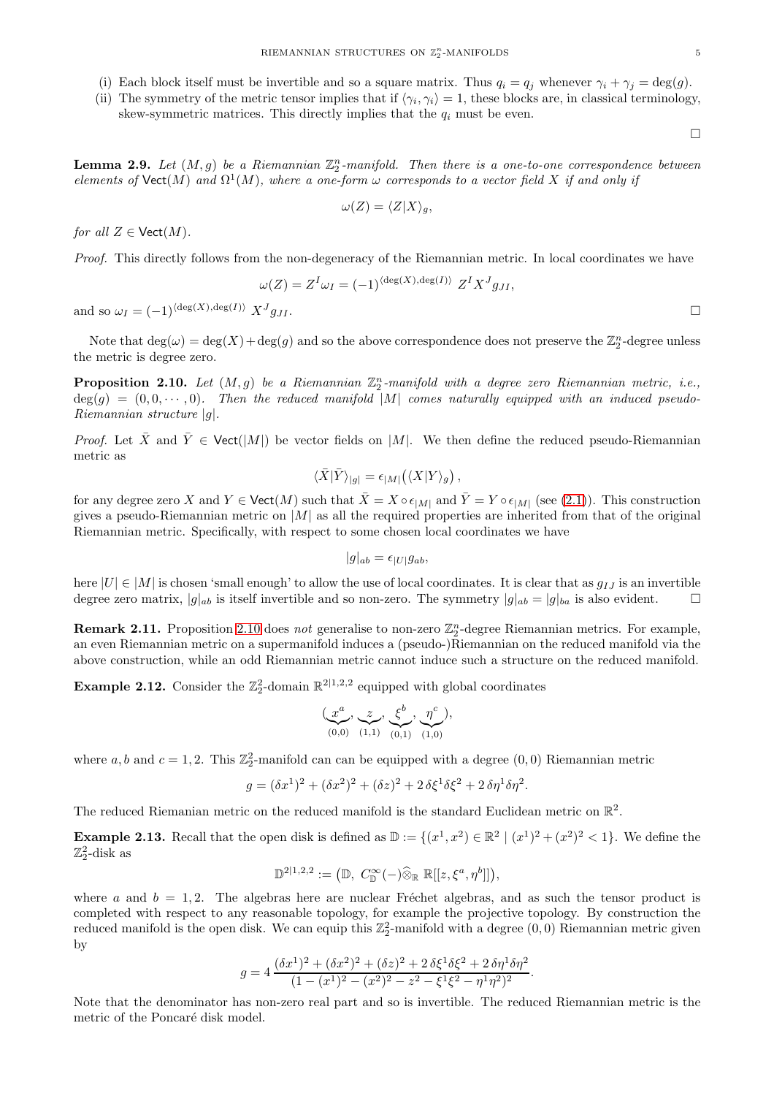- (i) Each block itself must be invertible and so a square matrix. Thus  $q_i = q_j$  whenever  $\gamma_i + \gamma_j = \deg(g)$ .
- (ii) The symmetry of the metric tensor implies that if  $\langle \gamma_i, \gamma_i \rangle = 1$ , these blocks are, in classical terminology, skew-symmetric matrices. This directly implies that the  $q_i$  must be even.

 $\Box$ 

<span id="page-4-1"></span>**Lemma 2.9.** Let  $(M, g)$  be a Riemannian  $\mathbb{Z}_2^n$ -manifold. Then there is a one-to-one correspondence between elements of  $\mathsf{Vect}(M)$  and  $\Omega^1(M)$ , where a one-form  $\omega$  corresponds to a vector field X if and only if

$$
\omega(Z) = \langle Z | X \rangle_g,
$$

for all  $Z \in \text{Vect}(M)$ .

Proof. This directly follows from the non-degeneracy of the Riemannian metric. In local coordinates we have

$$
\omega(Z) = Z^I \omega_I = (-1)^{\langle \deg(X), \deg(I) \rangle} Z^I X^J g_{JI},
$$

and so  $\omega_I = (-1)^{\langle \deg(X), \deg(I) \rangle} X^J g_{JI}.$  $g_{JI}$ .

Note that  $deg(\omega) = deg(X) + deg(g)$  and so the above correspondence does not preserve the  $\mathbb{Z}_2^n$ -degree unless the metric is degree zero.

<span id="page-4-0"></span>**Proposition 2.10.** Let  $(M, g)$  be a Riemannian  $\mathbb{Z}_2^n$ -manifold with a degree zero Riemannian metric, i.e.,  $deg(g) = (0, 0, \dots, 0)$ . Then the reduced manifold |M| comes naturally equipped with an induced pseudo-Riemannian structure |g|.

*Proof.* Let  $\bar{X}$  and  $\bar{Y} \in \text{Vect}(|M|)$  be vector fields on |M|. We then define the reduced pseudo-Riemannian metric as

$$
\langle \bar{X} | \bar{Y} \rangle_{|g|} = \epsilon_{|M|} (\langle X | Y \rangle_g) ,
$$

for any degree zero X and  $Y \in \text{Vect}(M)$  such that  $\bar{X} = X \circ \epsilon_{|M|}$  and  $\bar{Y} = Y \circ \epsilon_{|M|}$  (see [\(2.1\)](#page-2-0)). This construction gives a pseudo-Riemannian metric on  $|M|$  as all the required properties are inherited from that of the original Riemannian metric. Specifically, with respect to some chosen local coordinates we have

$$
|g|_{ab} = \epsilon_{|U|} g_{ab},
$$

here  $|U| \in |M|$  is chosen 'small enough' to allow the use of local coordinates. It is clear that as  $g_{IJ}$  is an invertible degree zero matrix,  $|g|_{ab}$  is itself invertible and so non-zero. The symmetry  $|g|_{ab} = |g|_{ba}$  is also evident.

**Remark 2.11.** Proposition [2.10](#page-4-0) does not generalise to non-zero  $\mathbb{Z}_2^n$ -degree Riemannian metrics. For example, an even Riemannian metric on a supermanifold induces a (pseudo-)Riemannian on the reduced manifold via the above construction, while an odd Riemannian metric cannot induce such a structure on the reduced manifold.

**Example 2.12.** Consider the  $\mathbb{Z}_2^2$ -domain  $\mathbb{R}^{2|1,2,2}$  equipped with global coordinates

$$
(\underbrace{x^a}_{(0,0)}, \underbrace{z}_{(1,1)}, \underbrace{\xi^b}_{(0,1)}, \underbrace{\eta^c}_{(1,0)}),
$$

where a, b and  $c = 1, 2$ . This  $\mathbb{Z}_2^2$ -manifold can can be equipped with a degree  $(0, 0)$  Riemannian metric

$$
g = (\delta x^{1})^{2} + (\delta x^{2})^{2} + (\delta z)^{2} + 2 \delta \xi^{1} \delta \xi^{2} + 2 \delta \eta^{1} \delta \eta^{2}.
$$

The reduced Riemanian metric on the reduced manifold is the standard Euclidean metric on  $\mathbb{R}^2$ .

**Example 2.13.** Recall that the open disk is defined as  $\mathbb{D} := \{(x^1, x^2) \in \mathbb{R}^2 \mid (x^1)^2 + (x^2)^2 < 1\}$ . We define the  $\mathbb{Z}_2^2$ -disk as

$$
\mathbb{D}^{2|1,2,2} := (\mathbb{D}, C^{\infty}_{\mathbb{D}}(-) \widehat{\otimes}_{\mathbb{R}} \mathbb{R}[[z,\xi^a,\eta^b]]),
$$

where a and  $b = 1, 2$ . The algebras here are nuclear Fréchet algebras, and as such the tensor product is completed with respect to any reasonable topology, for example the projective topology. By construction the reduced manifold is the open disk. We can equip this  $\mathbb{Z}_2^2$ -manifold with a degree  $(0,0)$  Riemannian metric given by

$$
g = 4 \frac{(\delta x^1)^2 + (\delta x^2)^2 + (\delta z)^2 + 2 \delta \xi^1 \delta \xi^2 + 2 \delta \eta^1 \delta \eta^2}{(1 - (x^1)^2 - (x^2)^2 - z^2 - \xi^1 \xi^2 - \eta^1 \eta^2)^2}.
$$

Note that the denominator has non-zero real part and so is invertible. The reduced Riemannian metric is the metric of the Poncaré disk model.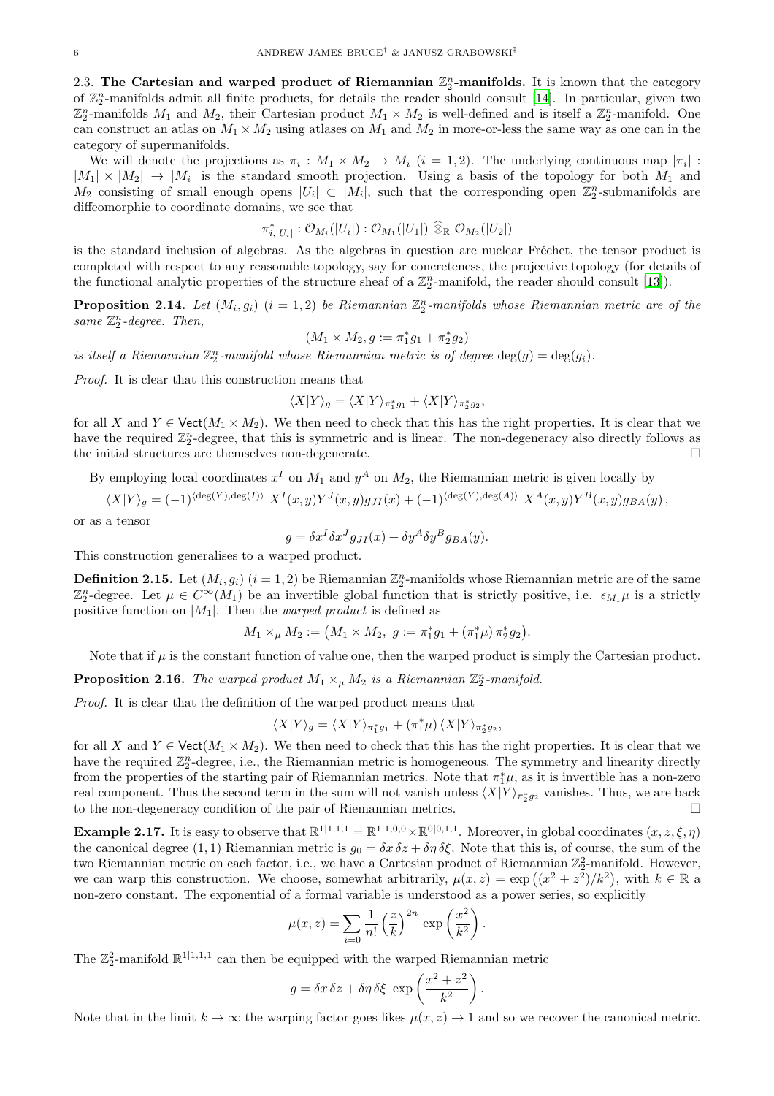<span id="page-5-0"></span>2.3. The Cartesian and warped product of Riemannian  $\mathbb{Z}_2^n$ -manifolds. It is known that the category of  $\mathbb{Z}_2^n$ -manifolds admit all finite products, for details the reader should consult [\[14\]](#page-15-4). In particular, given two  $\mathbb{Z}_2^n$ -manifolds  $M_1$  and  $M_2$ , their Cartesian product  $M_1 \times M_2$  is well-defined and is itself a  $\mathbb{Z}_2^n$ -manifold. One can construct an atlas on  $M_1 \times M_2$  using atlases on  $M_1$  and  $M_2$  in more-or-less the same way as one can in the category of supermanifolds.

We will denote the projections as  $\pi_i : M_1 \times M_2 \to M_i$   $(i = 1, 2)$ . The underlying continuous map  $|\pi_i|$ :  $|M_1| \times |M_2| \to |M_i|$  is the standard smooth projection. Using a basis of the topology for both  $M_1$  and  $M_2$  consisting of small enough opens  $|U_i| \subset |M_i|$ , such that the corresponding open  $\mathbb{Z}_2^n$ -submanifolds are diffeomorphic to coordinate domains, we see that

$$
\pi_{i,\vert U_i\vert}^*:\mathcal{O}_{M_i}(\vert U_i\vert):\mathcal{O}_{M_1}(\vert U_1\vert)\ \widehat{\otimes}_\mathbb{R}\ \mathcal{O}_{M_2}(\vert U_2\vert)
$$

is the standard inclusion of algebras. As the algebras in question are nuclear Fréchet, the tensor product is completed with respect to any reasonable topology, say for concreteness, the projective topology (for details of the functional analytic properties of the structure sheaf of a  $\mathbb{Z}_2^n$ -manifold, the reader should consult [\[13](#page-15-3)]).

**Proposition 2.14.** Let  $(M_i, g_i)$   $(i = 1, 2)$  be Riemannian  $\mathbb{Z}_2^n$ -manifolds whose Riemannian metric are of the same  $\mathbb{Z}_2^n$ -degree. Then,

$$
(M_1 \times M_2, g := \pi_1^* g_1 + \pi_2^* g_2)
$$

is itself a Riemannian  $\mathbb{Z}_2^n$ -manifold whose Riemannian metric is of degree  $\deg(g) = \deg(g_i)$ .

Proof. It is clear that this construction means that

$$
\langle X|Y\rangle_g = \langle X|Y\rangle_{\pi_1^*g_1} + \langle X|Y\rangle_{\pi_2^*g_2},
$$

for all X and  $Y \in \text{Vect}(M_1 \times M_2)$ . We then need to check that this has the right properties. It is clear that we have the required  $\mathbb{Z}_2^n$ -degree, that this is symmetric and is linear. The non-degeneracy also directly follows as the initial structures are themselves non-degenerate.

By employing local coordinates  $x^I$  on  $M_1$  and  $y^A$  on  $M_2$ , the Riemannian metric is given locally by

 $\langle X|Y\rangle_g = (-1)^{\langle \deg(Y), \deg(I)\rangle} X^I(x, y) Y^J(x, y) g_{JI}(x) + (-1)^{\langle \deg(Y), \deg(A)\rangle} X^A(x, y) Y^B(x, y) g_{BA}(y)$ 

or as a tensor

$$
g = \delta x^I \delta x^J g_{JI}(x) + \delta y^A \delta y^B g_{BA}(y).
$$

This construction generalises to a warped product.

**Definition 2.15.** Let  $(M_i, g_i)$   $(i = 1, 2)$  be Riemannian  $\mathbb{Z}_2^n$ -manifolds whose Riemannian metric are of the same  $\mathbb{Z}_2^n$ -degree. Let  $\mu \in C^{\infty}(M_1)$  be an invertible global function that is strictly positive, i.e.  $\epsilon_{M_1}\mu$  is a strictly positive function on  $|M_1|$ . Then the *warped product* is defined as

 $M_1 \times_\mu M_2 := \left( M_1 \times M_2, \ g := \pi_1^* g_1 + \left( \pi_1^* \mu \right) \pi_2^* g_2 \right).$ 

Note that if  $\mu$  is the constant function of value one, then the warped product is simply the Cartesian product.

**Proposition 2.16.** The warped product  $M_1 \times_{\mu} M_2$  is a Riemannian  $\mathbb{Z}_2^n$ -manifold.

Proof. It is clear that the definition of the warped product means that

$$
\langle X|Y\rangle_g = \langle X|Y\rangle_{\pi_1^*g_1} + (\pi_1^*\mu)\langle X|Y\rangle_{\pi_2^*g_2},
$$

for all X and  $Y \in \text{Vect}(M_1 \times M_2)$ . We then need to check that this has the right properties. It is clear that we have the required  $\mathbb{Z}_2^n$ -degree, i.e., the Riemannian metric is homogeneous. The symmetry and linearity directly from the properties of the starting pair of Riemannian metrics. Note that  $\pi_1^*\mu$ , as it is invertible has a non-zero real component. Thus the second term in the sum will not vanish unless  $\langle X|Y\rangle_{\pi_2^*g_2}$  vanishes. Thus, we are back to the non-degeneracy condition of the pair of Riemannian metrics.

**Example 2.17.** It is easy to observe that  $\mathbb{R}^{1|1,1,1} = \mathbb{R}^{1|1,0,0} \times \mathbb{R}^{0|0,1,1}$ . Moreover, in global coordinates  $(x, z, \xi, \eta)$ the canonical degree (1, 1) Riemannian metric is  $g_0 = \delta x \, \delta z + \delta \eta \, \delta \xi$ . Note that this is, of course, the sum of the two Riemannian metric on each factor, i.e., we have a Cartesian product of Riemannian  $\mathbb{Z}_2^2$ -manifold. However, we can warp this construction. We choose, somewhat arbitrarily,  $\mu(x, z) = \exp((x^2 + z^2)/k^2)$ , with  $k \in \mathbb{R}$  a non-zero constant. The exponential of a formal variable is understood as a power series, so explicitly

$$
\mu(x, z) = \sum_{i=0}^{\infty} \frac{1}{n!} \left(\frac{z}{k}\right)^{2n} \exp\left(\frac{x^2}{k^2}\right).
$$

The  $\mathbb{Z}_2^2$ -manifold  $\mathbb{R}^{1|1,1,1}$  can then be equipped with the warped Riemannian metric

$$
g = \delta x \, \delta z + \delta \eta \, \delta \xi \, \exp\left(\frac{x^2 + z^2}{k^2}\right)
$$

.

Note that in the limit  $k \to \infty$  the warping factor goes likes  $\mu(x, z) \to 1$  and so we recover the canonical metric.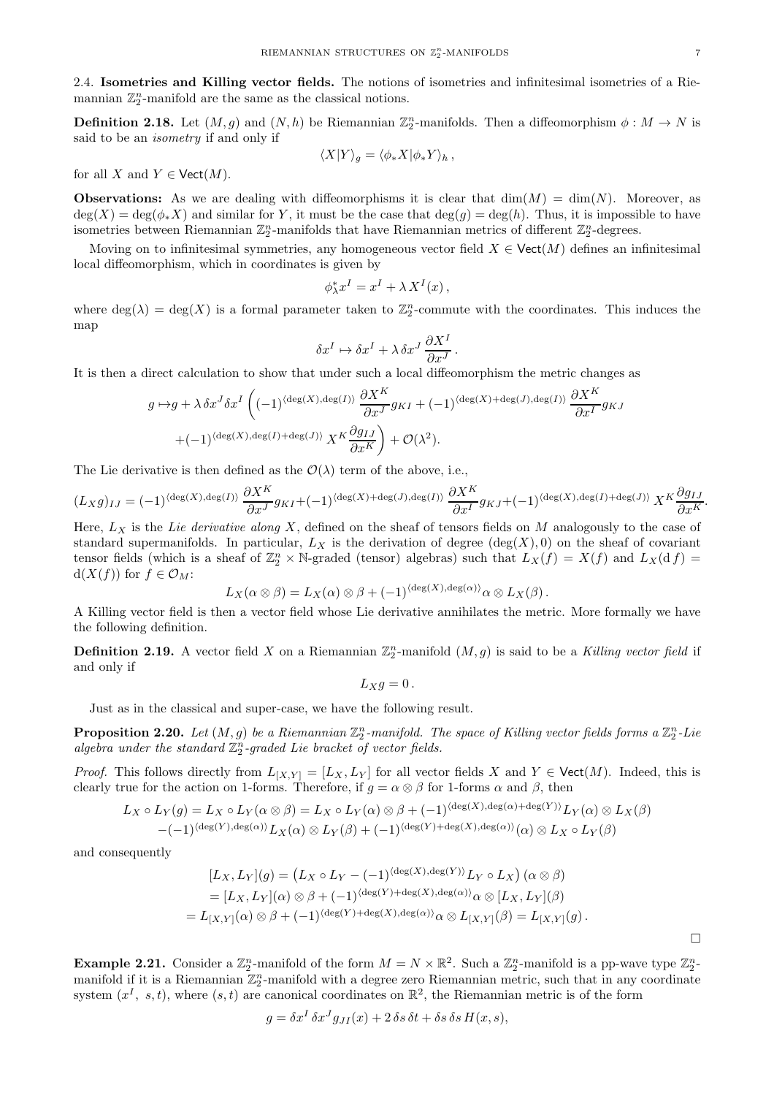<span id="page-6-0"></span>2.4. Isometries and Killing vector fields. The notions of isometries and infinitesimal isometries of a Riemannian  $\mathbb{Z}_2^n$ -manifold are the same as the classical notions.

**Definition 2.18.** Let  $(M, g)$  and  $(N, h)$  be Riemannian  $\mathbb{Z}_2^n$ -manifolds. Then a diffeomorphism  $\phi : M \to N$  is said to be an isometry if and only if

$$
\langle X|Y\rangle_g = \langle \phi_* X|\phi_* Y\rangle_h ,
$$

for all X and  $Y \in \text{Vect}(M)$ .

**Observations:** As we are dealing with diffeomorphisms it is clear that  $\dim(M) = \dim(N)$ . Moreover, as  $\deg(X) = \deg(\phi_* X)$  and similar for Y, it must be the case that  $\deg(g) = \deg(h)$ . Thus, it is impossible to have isometries between Riemannian  $\mathbb{Z}_2^n$ -manifolds that have Riemannian metrics of different  $\mathbb{Z}_2^n$ -degrees.

Moving on to infinitesimal symmetries, any homogeneous vector field  $X \in \text{Vect}(M)$  defines an infinitesimal local diffeomorphism, which in coordinates is given by

$$
\phi_{\lambda}^* x^I = x^I + \lambda X^I(x) \,,
$$

where  $deg(\lambda) = deg(X)$  is a formal parameter taken to  $\mathbb{Z}_2^n$ -commute with the coordinates. This induces the map

$$
\delta x^I \mapsto \delta x^I + \lambda \, \delta x^J \, \frac{\partial X^I}{\partial x^J} \, .
$$

It is then a direct calculation to show that under such a local diffeomorphism the metric changes as

$$
g \mapsto g + \lambda \delta x^J \delta x^I \left( (-1)^{\langle \deg(X), \deg(I) \rangle} \frac{\partial X^K}{\partial x^J} g_{KI} + (-1)^{\langle \deg(X) + \deg(J), \deg(I) \rangle} \frac{\partial X^K}{\partial x^I} g_{KJ} + (-1)^{\langle \deg(X), \deg(I) + \deg(J) \rangle} X^K \frac{\partial g_{IJ}}{\partial x^K} \right) + \mathcal{O}(\lambda^2).
$$

The Lie derivative is then defined as the  $\mathcal{O}(\lambda)$  term of the above, i.e.,

$$
(L_X g)_{IJ} = (-1)^{\langle \deg(X), \deg(I) \rangle} \frac{\partial X^K}{\partial x^J} g_{KI} + (-1)^{\langle \deg(X) + \deg(J), \deg(I) \rangle} \frac{\partial X^K}{\partial x^I} g_{KJ} + (-1)^{\langle \deg(X), \deg(I) + \deg(J) \rangle} X^K \frac{\partial g_{IJ}}{\partial x^K}
$$

Here,  $L_X$  is the Lie derivative along X, defined on the sheaf of tensors fields on M analogously to the case of standard supermanifolds. In particular,  $L_X$  is the derivation of degree  $(\deg(X), 0)$  on the sheaf of covariant tensor fields (which is a sheaf of  $\mathbb{Z}_2^n \times \mathbb{N}$ -graded (tensor) algebras) such that  $L_X(f) = X(f)$  and  $L_X(\mathrm{d} f) =$  $d(X(f))$  for  $f \in \mathcal{O}_M$ :

$$
L_X(\alpha \otimes \beta) = L_X(\alpha) \otimes \beta + (-1)^{\langle \text{deg}(X), \text{deg}(\alpha) \rangle} \alpha \otimes L_X(\beta).
$$

A Killing vector field is then a vector field whose Lie derivative annihilates the metric. More formally we have the following definition.

**Definition 2.19.** A vector field X on a Riemannian  $\mathbb{Z}_2^n$ -manifold  $(M, g)$  is said to be a Killing vector field if and only if

$$
L_X g=0\,.
$$

Just as in the classical and super-case, we have the following result.

**Proposition 2.20.** Let  $(M, g)$  be a Riemannian  $\mathbb{Z}_2^n$ -manifold. The space of Killing vector fields forms a  $\mathbb{Z}_2^n$ -Lie algebra under the standard  $\mathbb{Z}_2^n$ -graded Lie bracket of vector fields.

*Proof.* This follows directly from  $L_{[X,Y]} = [L_X, L_Y]$  for all vector fields X and Y  $\in$  Vect $(M)$ . Indeed, this is clearly true for the action on 1-forms. Therefore, if  $g = \alpha \otimes \beta$  for 1-forms  $\alpha$  and  $\beta$ , then

$$
L_X \circ L_Y(g) = L_X \circ L_Y(\alpha \otimes \beta) = L_X \circ L_Y(\alpha) \otimes \beta + (-1)^{\langle \deg(X), \deg(\alpha) + \deg(Y) \rangle} L_Y(\alpha) \otimes L_X(\beta)
$$
  

$$
-(-1)^{\langle \deg(Y), \deg(\alpha) \rangle} L_X(\alpha) \otimes L_Y(\beta) + (-1)^{\langle \deg(Y) + \deg(X), \deg(\alpha) \rangle} (\alpha) \otimes L_X \circ L_Y(\beta)
$$

and consequently

$$
[L_X, L_Y](g) = (L_X \circ L_Y - (-1)^{\langle \deg(X), \deg(Y) \rangle} L_Y \circ L_X) \, (\alpha \otimes \beta)
$$
  
= 
$$
[L_X, L_Y](\alpha) \otimes \beta + (-1)^{\langle \deg(Y) + \deg(X), \deg(\alpha) \rangle} \alpha \otimes [L_X, L_Y](\beta)
$$
  
= 
$$
L_{[X,Y]}(\alpha) \otimes \beta + (-1)^{\langle \deg(Y) + \deg(X), \deg(\alpha) \rangle} \alpha \otimes L_{[X,Y]}(\beta) = L_{[X,Y]}(g).
$$

**Example 2.21.** Consider a  $\mathbb{Z}_2^n$ -manifold of the form  $M = N \times \mathbb{R}^2$ . Such a  $\mathbb{Z}_2^n$ -manifold is a pp-wave type  $\mathbb{Z}_2^n$ manifold if it is a Riemannian  $\mathbb{Z}_2^n$ -manifold with a degree zero Riemannian metric, such that in any coordinate system  $(x^I, s, t)$ , where  $(s, t)$  are canonical coordinates on  $\mathbb{R}^2$ , the Riemannian metric is of the form

$$
g = \delta x^I \, \delta x^J g_{JI}(x) + 2 \, \delta s \, \delta t + \delta s \, \delta s \, H(x, s),
$$

.

 $\Box$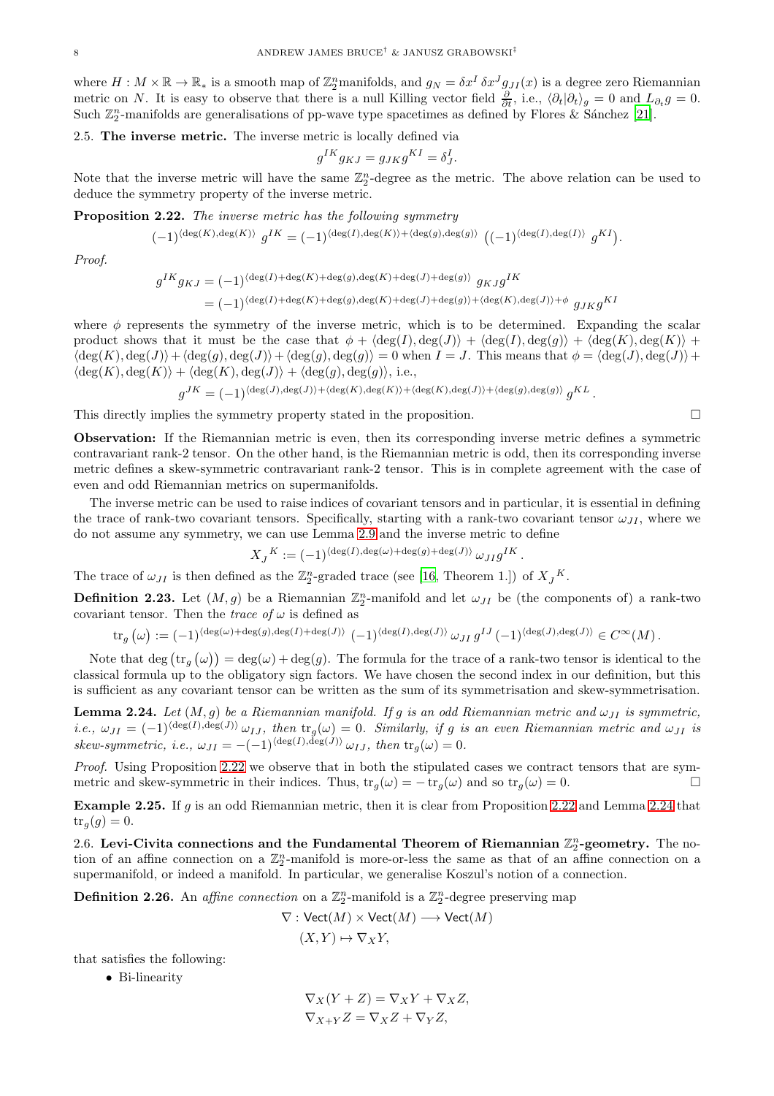where  $H: M \times \mathbb{R} \to \mathbb{R}_*$  is a smooth map of  $\mathbb{Z}_2^n$  manifolds, and  $g_N = \delta x^I \, \delta x^J g_{JI}(x)$  is a degree zero Riemannian metric on N. It is easy to observe that there is a null Killing vector field  $\frac{\partial}{\partial t}$ , i.e.,  $\langle \partial_t | \partial_t \rangle_g = 0$  and  $L_{\partial_t} g = 0$ . Such  $\mathbb{Z}_2^n$ -manifolds are generalisations of pp-wave type spacetimes as defined by Flores & Sánchez [\[21\]](#page-15-21).

#### <span id="page-7-0"></span>2.5. The inverse metric. The inverse metric is locally defined via

$$
g^{IK}g_{KJ} = g_{JK}g^{KI} = \delta^I_J.
$$

Note that the inverse metric will have the same  $\mathbb{Z}_2^n$ -degree as the metric. The above relation can be used to deduce the symmetry property of the inverse metric.

<span id="page-7-2"></span>Proposition 2.22. The inverse metric has the following symmetry

$$
(-1)^{\langle \deg(K), \deg(K) \rangle} g^{IK} = (-1)^{\langle \deg(I), \deg(K) \rangle + \langle \deg(g), \deg(g) \rangle} ((-1)^{\langle \deg(I), \deg(I) \rangle} g^{KI})
$$

.

Proof.

$$
\begin{split} g^{IK}g_{KJ} &= (-1)^{\langle \deg(I)+\deg(K)+\deg(g), \deg(K)+\deg(J)+\deg(g) \rangle} \ g_{KJ}g^{IK} \\ &= (-1)^{\langle \deg(I)+\deg(K)+\deg(g), \deg(K)+\deg(J)+\deg(g) \rangle + \langle \deg(K), \deg(J) \rangle + \phi} \ g_{JK}g^{KI} \end{split}
$$

where  $\phi$  represents the symmetry of the inverse metric, which is to be determined. Expanding the scalar product shows that it must be the case that  $\phi + \langle \deg(I), \deg(J) \rangle + \langle \deg(I), \deg(g) \rangle + \langle \deg(K), \deg(K) \rangle +$  $\langle \deg(K), \deg(J)\rangle + \langle \deg(g), \deg(J)\rangle + \langle \deg(g), \deg(g)\rangle = 0$  when  $I = J$ . This means that  $\phi = \langle \deg(J), \deg(J)\rangle + \langle \deg(J)\deg(J)\rangle$  $\langle \deg(K), \deg(K) \rangle + \langle \deg(K), \deg(J) \rangle + \langle \deg(g), \deg(g) \rangle$ , i.e.,

$$
g^{JK} = (-1)^{\langle \deg(J), \deg(J) \rangle + \langle \deg(K), \deg(K) \rangle + \langle \deg(K), \deg(J) \rangle + \langle \deg(g), \deg(g) \rangle} g^{KL}.
$$

This directly implies the symmetry property stated in the proposition.  $\Box$ 

Observation: If the Riemannian metric is even, then its corresponding inverse metric defines a symmetric contravariant rank-2 tensor. On the other hand, is the Riemannian metric is odd, then its corresponding inverse metric defines a skew-symmetric contravariant rank-2 tensor. This is in complete agreement with the case of even and odd Riemannian metrics on supermanifolds.

The inverse metric can be used to raise indices of covariant tensors and in particular, it is essential in defining the trace of rank-two covariant tensors. Specifically, starting with a rank-two covariant tensor  $\omega_{II}$ , where we do not assume any symmetry, we can use Lemma [2.9](#page-4-1) and the inverse metric to define

$$
X_J^K := (-1)^{\langle \deg(I), \deg(\omega) + \deg(g) + \deg(J) \rangle} \omega_{JI} g^{IK}.
$$

The trace of  $\omega_{JI}$  is then defined as the  $\mathbb{Z}_2^n$ -graded trace (see [\[16,](#page-15-5) Theorem 1.]) of  $X_J^K$ .

<span id="page-7-5"></span>**Definition 2.23.** Let  $(M, g)$  be a Riemannian  $\mathbb{Z}_2^n$ -manifold and let  $\omega_{JI}$  be (the components of) a rank-two covariant tensor. Then the *trace* of  $\omega$  is defined as

$$
\mathrm{tr}_g\left(\omega\right):=(-1)^{\langle \deg(\omega)+\deg(g),\deg(I)+\deg(J)\rangle}\ (-1)^{\langle \deg(I),\deg(J)\rangle}\ \omega_{JI}\ g^{IJ}\left(-1\right)^{\langle \deg(J),\deg(J)\rangle}\in C^\infty(M)\,.
$$

Note that deg  $(tr_g(\omega)) = deg(\omega) + deg(g)$ . The formula for the trace of a rank-two tensor is identical to the classical formula up to the obligatory sign factors. We have chosen the second index in our definition, but this is sufficient as any covariant tensor can be written as the sum of its symmetrisation and skew-symmetrisation.

<span id="page-7-3"></span>**Lemma 2.24.** Let  $(M, g)$  be a Riemannian manifold. If g is an odd Riemannian metric and  $\omega_{JI}$  is symmetric, i.e.,  $\omega_{JI} = (-1)^{\langle \deg(I), \deg(J) \rangle} \omega_{IJ}$ , then  $\text{tr}_g(\omega) = 0$ . Similarly, if g is an even Riemannian metric and  $\omega_{JI}$  is skew-symmetric, i.e.,  $\omega_{JI} = -(-1)^{\langle \deg(I), \deg(J) \rangle} \omega_{IJ}$ , then  $\text{tr}_g(\omega) = 0$ .

Proof. Using Proposition [2.22](#page-7-2) we observe that in both the stipulated cases we contract tensors that are symmetric and skew-symmetric in their indices. Thus,  $tr_g(\omega) = -tr_g(\omega)$  and so  $tr_g(\omega) = 0$ .

Example 2.25. If g is an odd Riemannian metric, then it is clear from Proposition [2.22](#page-7-2) and Lemma [2.24](#page-7-3) that  $tr_a(q) = 0.$ 

<span id="page-7-1"></span>2.6. Levi-Civita connections and the Fundamental Theorem of Riemannian  $\mathbb{Z}_2^n$ -geometry. The notion of an affine connection on a  $\mathbb{Z}_2^n$ -manifold is more-or-less the same as that of an affine connection on a supermanifold, or indeed a manifold. In particular, we generalise Koszul's notion of a connection.

<span id="page-7-4"></span>**Definition 2.26.** An *affine connection* on a  $\mathbb{Z}_2^n$ -manifold is a  $\mathbb{Z}_2^n$ -degree preserving map

$$
\nabla : \text{Vect}(M) \times \text{Vect}(M) \longrightarrow \text{Vect}(M)
$$

$$
(X, Y) \mapsto \nabla_X Y,
$$

that satisfies the following:

• Bi-linearity

$$
\nabla_X(Y+Z) = \nabla_X Y + \nabla_X Z,
$$
  

$$
\nabla_{X+Y} Z = \nabla_X Z + \nabla_Y Z,
$$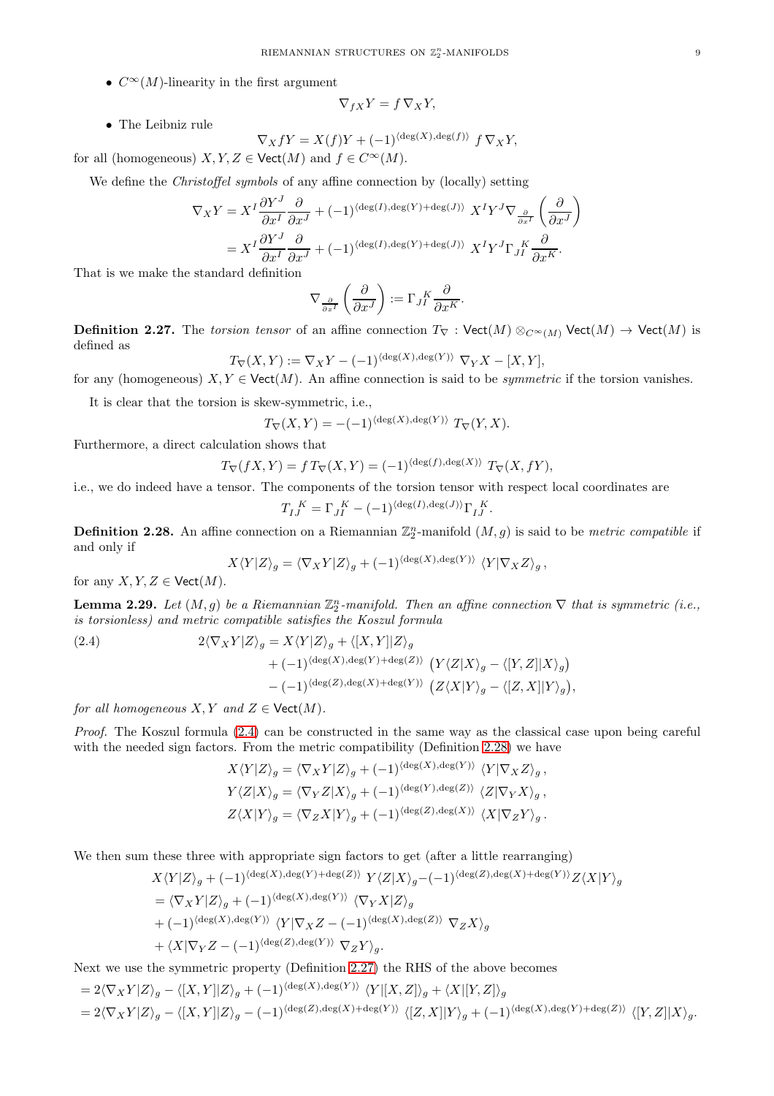•  $C^{\infty}(M)$ -linearity in the first argument

$$
\nabla_{fX} Y = f \, \nabla_X Y,
$$

• The Leibniz rule

$$
\nabla_X fY = X(f)Y + (-1)^{\langle \deg(X), \deg(f) \rangle} f \nabla_X Y,
$$

for all (homogeneous)  $X, Y, Z \in \text{Vect}(M)$  and  $f \in C^{\infty}(M)$ .

We define the *Christoffel symbols* of any affine connection by (locally) setting

$$
\nabla_X Y = X^I \frac{\partial Y^J}{\partial x^I} \frac{\partial}{\partial x^J} + (-1)^{\langle \deg(I), \deg(Y) + \deg(J) \rangle} X^I Y^J \nabla_{\frac{\partial}{\partial x^I}} \left( \frac{\partial}{\partial x^J} \right)
$$
  
=  $X^I \frac{\partial Y^J}{\partial x^I} \frac{\partial}{\partial x^J} + (-1)^{\langle \deg(I), \deg(Y) + \deg(J) \rangle} X^I Y^J \Gamma_J^K \frac{\partial}{\partial x^K}.$ 

That is we make the standard definition

$$
\nabla_{\frac{\partial}{\partial x^I}}\left(\frac{\partial}{\partial x^J}\right) := \Gamma_{JI}^K \frac{\partial}{\partial x^K}.
$$

<span id="page-8-2"></span>**Definition 2.27.** The torsion tensor of an affine connection  $T_{\nabla}$  : Vect(M)  $\otimes_{C^{\infty}(M)}$  Vect(M)  $\rightarrow$  Vect(M) is defined as

$$
T_{\nabla}(X,Y) := \nabla_X Y - (-1)^{\langle \deg(X), \deg(Y) \rangle} \nabla_Y X - [X,Y],
$$

for any (homogeneous)  $X, Y \in \text{Vect}(M)$ . An affine connection is said to be *symmetric* if the torsion vanishes.

It is clear that the torsion is skew-symmetric, i.e.,

$$
T_{\nabla}(X,Y) = -(-1)^{\langle \deg(X), \deg(Y) \rangle} T_{\nabla}(Y,X).
$$

Furthermore, a direct calculation shows that

$$
T_{\nabla}(fX,Y) = f T_{\nabla}(X,Y) = (-1)^{\langle \deg(f), \deg(X) \rangle} T_{\nabla}(X,fY),
$$

i.e., we do indeed have a tensor. The components of the torsion tensor with respect local coordinates are

$$
T_I{}^K_J = \Gamma_{JI}^{\ \ K} - (-1)^{\langle \deg(I), \deg(J) \rangle} \Gamma_{IJ}^{\ \ K}.
$$

<span id="page-8-1"></span>**Definition 2.28.** An affine connection on a Riemannian  $\mathbb{Z}_2^n$ -manifold  $(M, g)$  is said to be *metric compatible* if and only if

$$
X \langle Y|Z \rangle_g = \langle \nabla_X Y|Z \rangle_g + (-1)^{\langle \deg(X), \deg(Y) \rangle} \langle Y| \nabla_X Z \rangle_g,
$$

for any  $X, Y, Z \in \text{Vect}(M)$ .

<span id="page-8-3"></span>**Lemma 2.29.** Let  $(M, g)$  be a Riemannian  $\mathbb{Z}_2^n$ -manifold. Then an affine connection  $\nabla$  that is symmetric (i.e., is torsionless) and metric compatible satisfies the Koszul formula

<span id="page-8-0"></span>(2.4)  
\n
$$
2\langle \nabla_X Y | Z \rangle_g = X \langle Y | Z \rangle_g + \langle [X, Y] | Z \rangle_g
$$
\n
$$
+ (-1)^{\langle \deg(X), \deg(Y) + \deg(Z) \rangle} \left( Y \langle Z | X \rangle_g - \langle [Y, Z] | X \rangle_g \right)
$$
\n
$$
- (-1)^{\langle \deg(Z), \deg(X) + \deg(Y) \rangle} \left( Z \langle X | Y \rangle_g - \langle [Z, X] | Y \rangle_g \right),
$$

for all homogeneous  $X, Y$  and  $Z \in \text{Vect}(M)$ .

Proof. The Koszul formula [\(2.4\)](#page-8-0) can be constructed in the same way as the classical case upon being careful with the needed sign factors. From the metric compatibility (Definition [2.28\)](#page-8-1) we have

$$
X \langle Y|Z \rangle_g = \langle \nabla_X Y|Z \rangle_g + (-1)^{\langle \deg(X), \deg(Y) \rangle} \langle Y|\nabla_X Z \rangle_g,
$$
  
\n
$$
Y \langle Z|X \rangle_g = \langle \nabla_Y Z|X \rangle_g + (-1)^{\langle \deg(Y), \deg(Z) \rangle} \langle Z|\nabla_Y X \rangle_g,
$$
  
\n
$$
Z \langle X|Y \rangle_g = \langle \nabla_Z X|Y \rangle_g + (-1)^{\langle \deg(Z), \deg(X) \rangle} \langle X|\nabla_Z Y \rangle_g.
$$

We then sum these three with appropriate sign factors to get (after a little rearranging)

$$
X\langle Y|Z\rangle_g + (-1)^{\langle \deg(X), \deg(Y) + \deg(Z) \rangle} Y\langle Z|X\rangle_g - (-1)^{\langle \deg(Z), \deg(X) + \deg(Y) \rangle} Z\langle X|Y\rangle_g
$$
  
=  $\langle \nabla_X Y|Z\rangle_g + (-1)^{\langle \deg(X), \deg(Y) \rangle} \langle \nabla_Y X|Z\rangle_g$   
+  $(-1)^{\langle \deg(X), \deg(Y) \rangle} \langle Y|\nabla_X Z - (-1)^{\langle \deg(X), \deg(Z) \rangle} \nabla_Z X\rangle_g$   
+  $\langle X|\nabla_Y Z - (-1)^{\langle \deg(Z), \deg(Y) \rangle} \nabla_Z Y\rangle_g.$ 

Next we use the symmetric property (Definition [2.27\)](#page-8-2) the RHS of the above becomes

$$
= 2\langle \nabla_X Y|Z\rangle_g - \langle [X,Y]|Z\rangle_g + (-1)^{\langle \deg(X), \deg(Y)\rangle} \langle Y|[X,Z]\rangle_g + \langle X|[Y,Z]\rangle_g
$$
  

$$
= 2\langle \nabla_X Y|Z\rangle_g - \langle [X,Y]|Z\rangle_g - (-1)^{\langle \deg(Z), \deg(X) + \deg(Y)\rangle} \langle [Z,X]|Y\rangle_g + (-1)^{\langle \deg(X), \deg(Y) + \deg(Z)\rangle} \langle [Y,Z]|X\rangle_g.
$$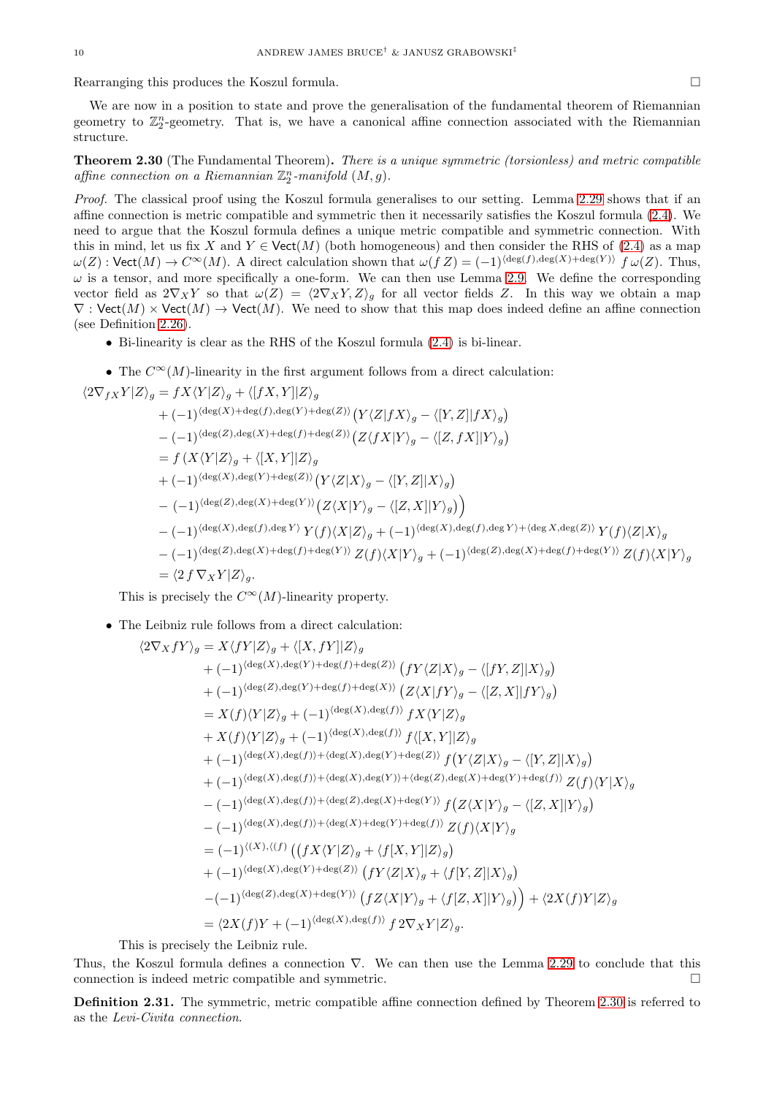Rearranging this produces the Koszul formula.

We are now in a position to state and prove the generalisation of the fundamental theorem of Riemannian geometry to  $\mathbb{Z}_2^n$ -geometry. That is, we have a canonical affine connection associated with the Riemannian structure.

<span id="page-9-0"></span>Theorem 2.30 (The Fundamental Theorem). There is a unique symmetric (torsionless) and metric compatible affine connection on a Riemannian  $\mathbb{Z}_2^n$ -manifold  $(M, g)$ .

Proof. The classical proof using the Koszul formula generalises to our setting. Lemma [2.29](#page-8-3) shows that if an affine connection is metric compatible and symmetric then it necessarily satisfies the Koszul formula [\(2.4\)](#page-8-0). We need to argue that the Koszul formula defines a unique metric compatible and symmetric connection. With this in mind, let us fix X and  $Y \in \text{Vect}(M)$  (both homogeneous) and then consider the RHS of [\(2.4\)](#page-8-0) as a map  $\omega(Z): \text{Vect}(M) \to C^{\infty}(M)$ . A direct calculation shown that  $\omega(f Z) = (-1)^{\langle \text{deg}(f), \text{deg}(X) + \text{deg}(Y) \rangle} f \omega(Z)$ . Thus,  $\omega$  is a tensor, and more specifically a one-form. We can then use Lemma [2.9.](#page-4-1) We define the corresponding vector field as  $2\nabla_X Y$  so that  $\omega(Z) = \langle 2\nabla_X Y, Z \rangle_q$  for all vector fields Z. In this way we obtain a map  $\nabla$ : Vect $(M) \times$  Vect $(M) \to$  Vect $(M)$ . We need to show that this map does indeed define an affine connection (see Definition [2.26\)](#page-7-4).

- Bi-linearity is clear as the RHS of the Koszul formula [\(2.4\)](#page-8-0) is bi-linear.
- The  $C^{\infty}(M)$ -linearity in the first argument follows from a direct calculation:

$$
\langle 2\nabla_{fX}Y|Z\rangle_{g} = fX\langle Y|Z\rangle_{g} + \langle [fX,Y]|Z\rangle_{g}
$$
  
+  $(-1)^{\langle \deg(X) + \deg(f), \deg(Y) + \deg(Z) \rangle} (Y\langle Z|fX\rangle_{g} - \langle [Y,Z]|fX\rangle_{g})$   
-  $(-1)^{\langle \deg(Z), \deg(X) + \deg(f) + \deg(Z) \rangle} (Z\langle fX|Y\rangle_{g} - \langle [Z, fX]|Y\rangle_{g})$   
=  $f(X\langle Y|Z\rangle_{g} + \langle [X,Y]|Z\rangle_{g}$   
+  $(-1)^{\langle \deg(X), \deg(Y) + \deg(Z) \rangle} (Y\langle Z|X\rangle_{g} - \langle [Y,Z]|X\rangle_{g})$   
-  $(-1)^{\langle \deg(Z), \deg(Y) + \deg(Y) \rangle} (Z\langle X|Y\rangle_{g} - \langle [Z,X]|Y\rangle_{g})$ )  
-  $(-1)^{\langle \deg(X), \deg(f), \deg(Y) \rangle} Y(f)\langle X|Z\rangle_{g} + (-1)^{\langle \deg(X), \deg(f), \deg(Y) + \langle \deg X, \deg(Z) \rangle} Y(f)\langle Z|X\rangle_{g}$   
-  $(-1)^{\langle \deg(Z), \deg(X) + \deg(f) + \deg(Y) \rangle} Z(f)\langle X|Y\rangle_{g} + (-1)^{\langle \deg(Z), \deg(X) + \deg(f) + \deg(Y) \rangle} Z(f)\langle X|Y\rangle_{g}$   
=  $\langle 2 f \nabla_X Y|Z\rangle_{g}.$ 

This is precisely the  $C^{\infty}(M)$ -linearity property.

• The Leibniz rule follows from a direct calculation:

$$
\langle 2\nabla_X fY \rangle_g = X \langle fY | Z \rangle_g + \langle [X, fY] | Z \rangle_g
$$
  
+ (-1)<sup>{deg(X),deg(Y)+deg(f)+deg(Z))} (fY \langle Z | X \rangle\_g - \langle [fY, Z] | X \rangle\_g)  
+ (-1)<sup>{deg(Z),deg(Y)+deg(f)+deg(X))} (Z \langle X | fY \rangle\_g - \langle [Z, X] | fY \rangle\_g)  
= X(f) \langle Y | Z \rangle\_g + (-1)<sup>{deg(X),deg(f))} fX \langle Y | Z \rangle\_g  
+ X(f) \langle Y | Z \rangle\_g + (-1)<sup>{deg(X),deg(f))} f \langle [X, Y] | Z \rangle\_g  
+ (-1)<sup>{deg(X),deg(f))} (\langle \langle X, \langle X, \langle X, \rangle \rangle\_g - \langle [Y, Z] | X \rangle\_g)  
+ (-1)<sup>{deg(X),deg(f))} (\langle \langle X, \langle \langle X, \rangle \rangle\_g - \langle [Z, X] | Y \rangle\_g)  
- (-1)<sup>{deg(X),deg(f))} (\langle \langle X, \langle \langle X, \rangle \rangle\_g - \langle [Z, X] | Y \rangle\_g)  
- (-1)<sup>{deg(X),deg(f))} (\langle \langle X, \langle Y, \rangle\_g - \langle [Z, X] | Y \rangle\_g)  
= (-1)<sup>{deg(X),deg(f))} (\langle \langle X, \langle Y | Z \rangle\_g + \langle f[X, Y] | Z \rangle\_g)  
+ (-1)<sup>{deg(X),deg(Y)+deg(Z))} (fY \langle Z | X \rangle\_g + \langle f[Y, Z] | X \rangle\_g)  
- (-1)<sup>{deg(Z),deg(Y)+deg(Z))} (fY \langle Z | X \rangle\_g + \langle f[Z, X] | Y \rangle\_g) ) + \langle 2X(f)Y | Z \rangle\_g  
= \langle 2X(f)Y + (-1)<sup>{deg(X),deg(f))} f2\nabla\_X Y | Z \rangle\_g.</sup></sup></sup></sup></sup></sup></sup></sup></sup></sup></sup></sup>

This is precisely the Leibniz rule.

Thus, the Koszul formula defines a connection ∇. We can then use the Lemma [2.29](#page-8-3) to conclude that this connection is indeed metric compatible and symmetric.

Definition 2.31. The symmetric, metric compatible affine connection defined by Theorem [2.30](#page-9-0) is referred to as the Levi-Civita connection.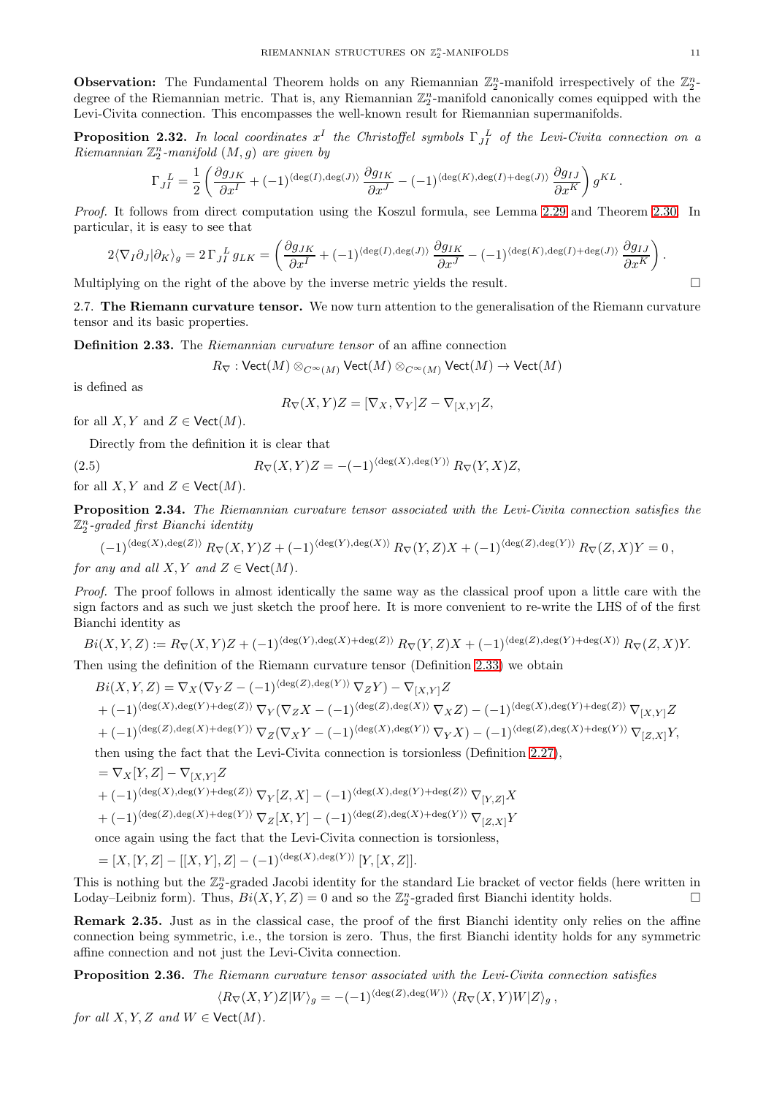**Observation:** The Fundamental Theorem holds on any Riemannian  $\mathbb{Z}_2^n$ -manifold irrespectively of the  $\mathbb{Z}_2^n$ degree of the Riemannian metric. That is, any Riemannian  $\mathbb{Z}_2^n$ -manifold canonically comes equipped with the Levi-Civita connection. This encompasses the well-known result for Riemannian supermanifolds.

<span id="page-10-3"></span>**Proposition 2.32.** In local coordinates  $x^I$  the Christoffel symbols  $\Gamma_{JI}^{\ L}$  of the Levi-Civita connection on a  $Riemannian \mathbb{Z}_2^n$ -manifold  $(M, g)$  are given by

$$
\Gamma_{JI}^{\quad L} = \frac{1}{2} \left( \frac{\partial g_{JK}}{\partial x^I} + (-1)^{\langle \deg(I), \deg(J) \rangle} \frac{\partial g_{IK}}{\partial x^J} - (-1)^{\langle \deg(K), \deg(I) + \deg(J) \rangle} \frac{\partial g_{IJ}}{\partial x^K} \right) g^{KL}.
$$

Proof. It follows from direct computation using the Koszul formula, see Lemma [2.29](#page-8-3) and Theorem [2.30.](#page-9-0) In particular, it is easy to see that

$$
2\langle \nabla_I \partial_J | \partial_K \rangle_g = 2\Gamma_{JI}^{\ \ L} g_{LK} = \left( \frac{\partial g_{JK}}{\partial x^I} + (-1)^{\langle \deg(I), \deg(J) \rangle} \frac{\partial g_{IK}}{\partial x^J} - (-1)^{\langle \deg(K), \deg(I) + \deg(J) \rangle} \frac{\partial g_{IJ}}{\partial x^K} \right).
$$

<span id="page-10-0"></span>Multiplying on the right of the above by the inverse metric yields the result.  $\Box$ 

2.7. The Riemann curvature tensor. We now turn attention to the generalisation of the Riemann curvature tensor and its basic properties.

<span id="page-10-1"></span>Definition 2.33. The Riemannian curvature tensor of an affine connection

 $R_{\nabla}: \text{Vect}(M) \otimes_{C^{\infty}(M)} \text{Vect}(M) \otimes_{C^{\infty}(M)} \text{Vect}(M) \to \text{Vect}(M)$ 

is defined as

$$
R_{\nabla}(X,Y)Z = [\nabla_X, \nabla_Y]Z - \nabla_{[X,Y]}Z,
$$

for all  $X, Y$  and  $Z \in \text{Vect}(M)$ .

Directly from the definition it is clear that

(2.5) 
$$
R_{\nabla}(X,Y)Z = -(-1)^{\langle \deg(X), \deg(Y) \rangle} R_{\nabla}(Y,X)Z,
$$

for all X, Y and  $Z \in \text{Vect}(M)$ .

<span id="page-10-2"></span>Proposition 2.34. The Riemannian curvature tensor associated with the Levi-Civita connection satisfies the  $\mathbb{Z}_2^n$ -graded first Bianchi identity

$$
(-1)^{\langle \deg(X), \deg(Z) \rangle} R_{\nabla}(X, Y)Z + (-1)^{\langle \deg(Y), \deg(X) \rangle} R_{\nabla}(Y, Z)X + (-1)^{\langle \deg(Z), \deg(Y) \rangle} R_{\nabla}(Z, X)Y = 0,
$$

for any and all  $X, Y$  and  $Z \in \text{Vect}(M)$ .

Proof. The proof follows in almost identically the same way as the classical proof upon a little care with the sign factors and as such we just sketch the proof here. It is more convenient to re-write the LHS of of the first Bianchi identity as

$$
Bi(X,Y,Z) := R_{\nabla}(X,Y)Z + (-1)^{\langle \deg(Y), \deg(X) + \deg(Z) \rangle} R_{\nabla}(Y,Z)X + (-1)^{\langle \deg(Z), \deg(Y) + \deg(X) \rangle} R_{\nabla}(Z,X)Y.
$$

Then using the definition of the Riemann curvature tensor (Definition [2.33\)](#page-10-1) we obtain

$$
Bi(X, Y, Z) = \nabla_X (\nabla_Y Z - (-1)^{\langle \deg(Z), \deg(Y) \rangle} \nabla_Z Y) - \nabla_{[X, Y]} Z + (-1)^{\langle \deg(X), \deg(Y) + \deg(Z) \rangle} \nabla_Y (\nabla_Z X - (-1)^{\langle \deg(Z), \deg(X) \rangle} \nabla_X Z) - (-1)^{\langle \deg(X), \deg(Y) + \deg(Z) \rangle} \nabla_{[X, Y]} Z + (-1)^{\langle \deg(Z), \deg(Y) + \deg(Y) \rangle} \nabla_Z (\nabla_X Y - (-1)^{\langle \deg(X), \deg(Y) \rangle} \nabla_Y X) - (-1)^{\langle \deg(Z), \deg(X) + \deg(Y) \rangle} \nabla_{[Z, X]} Y,
$$

then using the fact that the Levi-Civita connection is torsionless (Definition [2.27\)](#page-8-2),

$$
= \nabla_X[Y, Z] - \nabla_{[X,Y]}Z
$$
  
+  $(-1)^{\langle \deg(X), \deg(Y) + \deg(Z) \rangle} \nabla_Y[Z, X] - (-1)^{\langle \deg(X), \deg(Y) + \deg(Z) \rangle} \nabla_{[Y,Z]}X$ 

$$
+(-1)^{\langle \deg(Z), \deg(X)+\deg(Y) \rangle}\, \nabla_Z[X,Y] - (-1)^{\langle \deg(Z), \deg(X)+\deg(Y) \rangle}\, \nabla_{[Z,X]}Y
$$

once again using the fact that the Levi-Civita connection is torsionless,

$$
= [X, [Y, Z] - [[X, Y], Z] - (-1)^{\langle \deg(X), \deg(Y) \rangle} [Y, [X, Z]].
$$

This is nothing but the  $\mathbb{Z}_2^n$ -graded Jacobi identity for the standard Lie bracket of vector fields (here written in Loday–Leibniz form). Thus,  $Bi(X, Y, Z) = 0$  and so the  $\mathbb{Z}_2^n$ -graded first Bianchi identity holds.

Remark 2.35. Just as in the classical case, the proof of the first Bianchi identity only relies on the affine connection being symmetric, i.e., the torsion is zero. Thus, the first Bianchi identity holds for any symmetric affine connection and not just the Levi-Civita connection.

Proposition 2.36. The Riemann curvature tensor associated with the Levi-Civita connection satisfies

$$
\langle R_{\nabla}(X,Y)Z|W\rangle_g = -(-1)^{\langle \deg(Z), \deg(W) \rangle} \langle R_{\nabla}(X,Y)W|Z\rangle_g,
$$

for all  $X, Y, Z$  and  $W \in \text{Vect}(M)$ .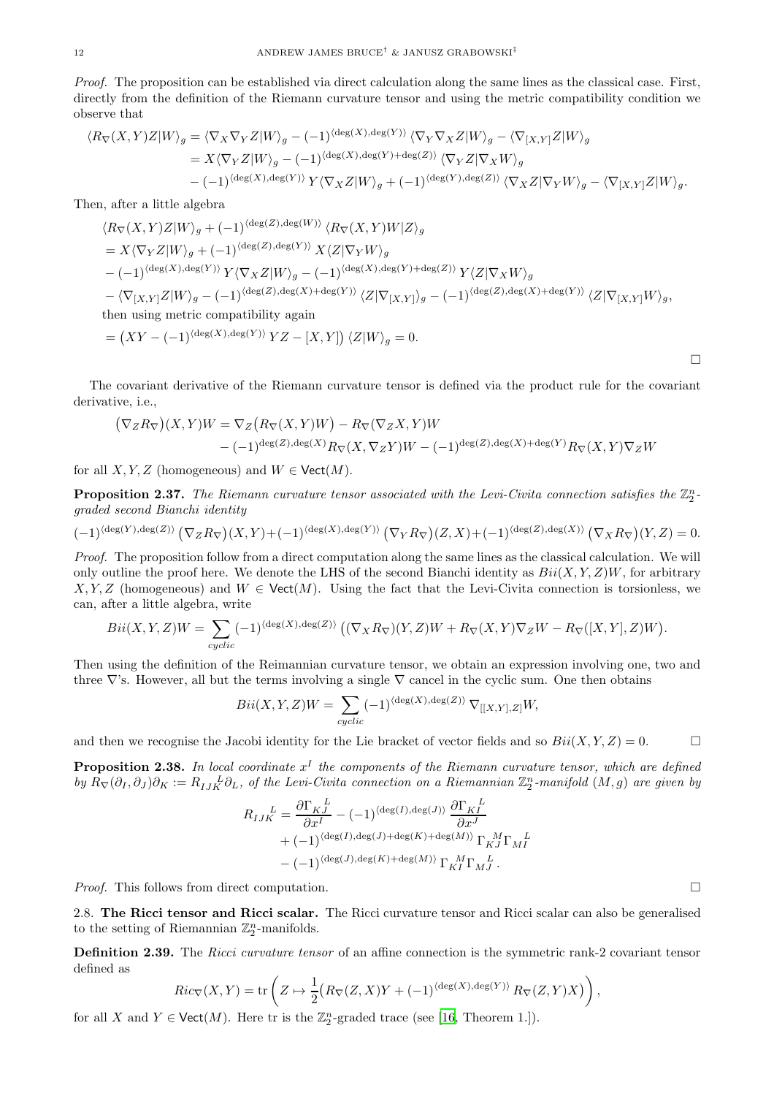Proof. The proposition can be established via direct calculation along the same lines as the classical case. First, directly from the definition of the Riemann curvature tensor and using the metric compatibility condition we observe that

$$
\langle R_{\nabla}(X,Y)Z|W\rangle_{g} = \langle \nabla_{X}\nabla_{Y}Z|W\rangle_{g} - (-1)^{\langle \deg(X), \deg(Y) \rangle} \langle \nabla_{Y}\nabla_{X}Z|W\rangle_{g} - \langle \nabla_{[X,Y]}Z|W\rangle_{g}
$$
  
\n
$$
= X \langle \nabla_{Y}Z|W\rangle_{g} - (-1)^{\langle \deg(X), \deg(Y) + \deg(Z) \rangle} \langle \nabla_{Y}Z|\nabla_{X}W\rangle_{g}
$$
  
\n
$$
- (-1)^{\langle \deg(X), \deg(Y) \rangle} Y \langle \nabla_{X}Z|W\rangle_{g} + (-1)^{\langle \deg(Y), \deg(Z) \rangle} \langle \nabla_{X}Z|\nabla_{Y}W\rangle_{g} - \langle \nabla_{[X,Y]}Z|W\rangle_{g}.
$$

Then, after a little algebra

$$
\langle R_{\nabla}(X,Y)Z|W\rangle_{g} + (-1)^{\langle \deg(Z), \deg(W) \rangle} \langle R_{\nabla}(X,Y)W|Z\rangle_{g}
$$
  
\n
$$
= X \langle \nabla_{Y} Z|W\rangle_{g} + (-1)^{\langle \deg(Z), \deg(Y) \rangle} X \langle Z|\nabla_{Y} W\rangle_{g}
$$
  
\n
$$
- (-1)^{\langle \deg(X), \deg(Y) \rangle} Y \langle \nabla_{X} Z|W\rangle_{g} - (-1)^{\langle \deg(X), \deg(Y) + \deg(Z) \rangle} Y \langle Z|\nabla_{X} W\rangle_{g}
$$
  
\n
$$
- \langle \nabla_{[X,Y]} Z|W\rangle_{g} - (-1)^{\langle \deg(Z), \deg(X) + \deg(Y) \rangle} \langle Z|\nabla_{[X,Y]}\rangle_{g} - (-1)^{\langle \deg(Z), \deg(X) + \deg(Y) \rangle} \langle Z|\nabla_{[X,Y]} W\rangle_{g},
$$
  
\nthen using metric compatibility again  
\n
$$
= (XY - (-1)^{\langle \deg(X), \deg(Y) \rangle} YZ - [X,Y]) \langle Z|W\rangle_{g} = 0.
$$

The covariant derivative of the Riemann curvature tensor is defined via the product rule for the covariant derivative, i.e.,

$$
(\nabla_Z R_{\nabla})(X,Y)W = \nabla_Z (R_{\nabla}(X,Y)W) - R_{\nabla}(\nabla_Z X,Y)W
$$
  
 
$$
-(-1)^{\deg(Z),\deg(X)} R_{\nabla}(X,\nabla_Z Y)W - (-1)^{\deg(Z),\deg(X) + \deg(Y)} R_{\nabla}(X,Y)\nabla_Z W
$$

for all  $X, Y, Z$  (homogeneous) and  $W \in \text{Vect}(M)$ .

<span id="page-11-1"></span>**Proposition 2.37.** The Riemann curvature tensor associated with the Levi-Civita connection satisfies the  $\mathbb{Z}_2^n$ graded second Bianchi identity

$$
(-1)^{\langle \deg(Y), \deg(Z) \rangle} \left( \nabla_Z R_{\nabla} \right) (X, Y) + (-1)^{\langle \deg(X), \deg(Y) \rangle} \left( \nabla_Y R_{\nabla} \right) (Z, X) + (-1)^{\langle \deg(Z), \deg(X) \rangle} \left( \nabla_X R_{\nabla} \right) (Y, Z) = 0.
$$

Proof. The proposition follow from a direct computation along the same lines as the classical calculation. We will only outline the proof here. We denote the LHS of the second Bianchi identity as  $Bi(X, Y, Z)W$ , for arbitrary  $X, Y, Z$  (homogeneous) and  $W \in \text{Vect}(M)$ . Using the fact that the Levi-Civita connection is torsionless, we can, after a little algebra, write

$$
Bii(X,Y,Z)W = \sum_{cyclic} (-1)^{\langle \deg(X), \deg(Z) \rangle} \left( (\nabla_X R_\nabla)(Y,Z)W + R_\nabla(X,Y)\nabla_Z W - R_\nabla([X,Y],Z)W \right).
$$

Then using the definition of the Reimannian curvature tensor, we obtain an expression involving one, two and three  $\nabla$ 's. However, all but the terms involving a single  $\nabla$  cancel in the cyclic sum. One then obtains

$$
Bii(X, Y, Z)W = \sum_{cyclic} (-1)^{\langle \deg(X), \deg(Z) \rangle} \nabla_{[[X, Y], Z]} W,
$$

and then we recognise the Jacobi identity for the Lie bracket of vector fields and so  $Bi(X, Y, Z) = 0$ .

**Proposition 2.38.** In local coordinate  $x^I$  the components of the Riemann curvature tensor, which are defined by  $R_{\nabla}(\partial_I, \partial_J) \partial_K := R_{IJK}^L \partial_L$ , of the Levi-Civita connection on a Riemannian  $\mathbb{Z}_2^n$ -manifold  $(M, g)$  are given by

$$
R_{IJK}^{\quad L} = \frac{\partial \Gamma_{KJ}}{\partial x^I} - (-1)^{\langle \deg(I), \deg(J) \rangle} \frac{\partial \Gamma_{KI}}{\partial x^J} + (-1)^{\langle \deg(I), \deg(J) + \deg(K) + \deg(M) \rangle} \Gamma_{KJ}^{\quad M} \Gamma_{MI}^{\quad L} - (-1)^{\langle \deg(J), \deg(K) + \deg(M) \rangle} \Gamma_{KI}^{\quad M} \Gamma_{MJ}^{\quad L}.
$$

<span id="page-11-0"></span>*Proof.* This follows from direct computation.  $\square$ 

2.8. The Ricci tensor and Ricci scalar. The Ricci curvature tensor and Ricci scalar can also be generalised to the setting of Riemannian  $\mathbb{Z}_2^n$ -manifolds.

<span id="page-11-2"></span>Definition 2.39. The Ricci curvature tensor of an affine connection is the symmetric rank-2 covariant tensor defined as

$$
Ric_{\nabla}(X,Y) = \text{tr}\left(Z \mapsto \frac{1}{2}\big(R_{\nabla}(Z,X)Y + (-1)^{\langle \deg(X), \deg(Y) \rangle} R_{\nabla}(Z,Y)X\big)\right),
$$

for all X and  $Y \in \text{Vect}(M)$ . Here tr is the  $\mathbb{Z}_2^n$ -graded trace (see [\[16,](#page-15-5) Theorem 1.]).

 $\Box$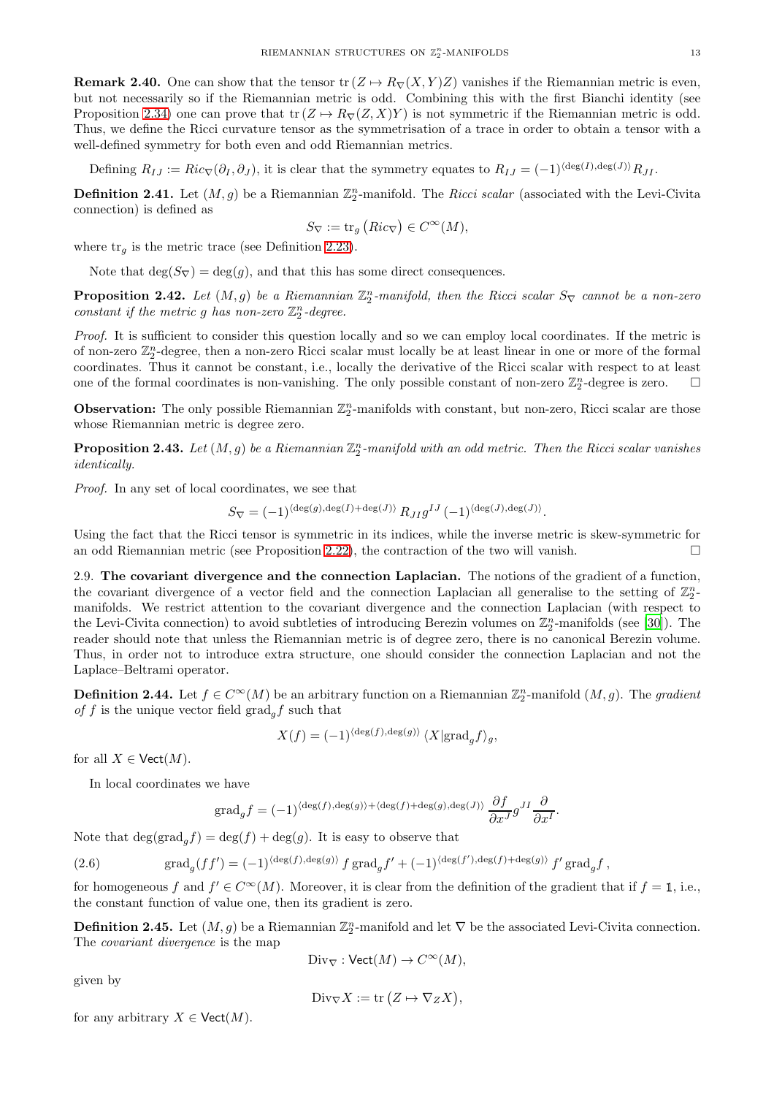**Remark 2.40.** One can show that the tensor tr  $(Z \rightarrow R_{\nabla}(X, Y)Z)$  vanishes if the Riemannian metric is even, but not necessarily so if the Riemannian metric is odd. Combining this with the first Bianchi identity (see Proposition [2.34\)](#page-10-2) one can prove that  $\text{tr}(Z \to R_{\nabla}(Z, X)Y)$  is not symmetric if the Riemannian metric is odd. Thus, we define the Ricci curvature tensor as the symmetrisation of a trace in order to obtain a tensor with a well-defined symmetry for both even and odd Riemannian metrics.

Defining  $R_{IJ} := Ric_{\nabla}(\partial_I, \partial_J)$ , it is clear that the symmetry equates to  $R_{IJ} = (-1)^{\langle \deg(I), \deg(J) \rangle} R_{JI}$ .

<span id="page-12-1"></span>**Definition 2.41.** Let  $(M, g)$  be a Riemannian  $\mathbb{Z}_2^n$ -manifold. The *Ricci scalar* (associated with the Levi-Civita connection) is defined as

$$
S_{\nabla} := \text{tr}_g\left(Ric_{\nabla}\right) \in C^{\infty}(M),
$$

where  $\text{tr}_q$  is the metric trace (see Definition [2.23\)](#page-7-5).

Note that  $\deg(S_{\nabla}) = \deg(q)$ , and that this has some direct consequences.

**Proposition 2.42.** Let  $(M, g)$  be a Riemannian  $\mathbb{Z}_2^n$ -manifold, then the Ricci scalar  $S_{\nabla}$  cannot be a non-zero constant if the metric g has non-zero  $\mathbb{Z}_2^n$ -degree.

Proof. It is sufficient to consider this question locally and so we can employ local coordinates. If the metric is of non-zero  $\mathbb{Z}_2^n$ -degree, then a non-zero Ricci scalar must locally be at least linear in one or more of the formal coordinates. Thus it cannot be constant, i.e., locally the derivative of the Ricci scalar with respect to at least one of the formal coordinates is non-vanishing. The only possible constant of non-zero  $\mathbb{Z}_2^n$ -degree is zero.  $\Box$ 

**Observation:** The only possible Riemannian  $\mathbb{Z}_2^n$ -manifolds with constant, but non-zero, Ricci scalar are those whose Riemannian metric is degree zero.

<span id="page-12-2"></span>**Proposition 2.43.** Let  $(M, g)$  be a Riemannian  $\mathbb{Z}_2^n$ -manifold with an odd metric. Then the Ricci scalar vanishes identically.

Proof. In any set of local coordinates, we see that

$$
S_{\nabla} = (-1)^{\langle \deg(g), \deg(I) + \deg(J) \rangle} R_{JI} g^{IJ} (-1)^{\langle \deg(J), \deg(J) \rangle}.
$$

Using the fact that the Ricci tensor is symmetric in its indices, while the inverse metric is skew-symmetric for an odd Riemannian metric (see Proposition [2.22\)](#page-7-2), the contraction of the two will vanish.  $\square$ 

<span id="page-12-0"></span>2.9. The covariant divergence and the connection Laplacian. The notions of the gradient of a function, the covariant divergence of a vector field and the connection Laplacian all generalise to the setting of  $\mathbb{Z}_2^n$ manifolds. We restrict attention to the covariant divergence and the connection Laplacian (with respect to the Levi-Civita connection) to avoid subtleties of introducing Berezin volumes on  $\mathbb{Z}_2^n$ -manifolds (see [\[30\]](#page-16-5)). The reader should note that unless the Riemannian metric is of degree zero, there is no canonical Berezin volume. Thus, in order not to introduce extra structure, one should consider the connection Laplacian and not the Laplace–Beltrami operator.

**Definition 2.44.** Let  $f \in C^{\infty}(M)$  be an arbitrary function on a Riemannian  $\mathbb{Z}_2^n$ -manifold  $(M, g)$ . The gradient of f is the unique vector field  $\text{grad}_a f$  such that

$$
X(f) = (-1)^{\langle \deg(f), \deg(g) \rangle} \langle X | \text{grad}_g f \rangle_g,
$$

for all  $X \in \text{Vect}(M)$ .

In local coordinates we have

<span id="page-12-3"></span>grad<sub>g</sub>f = 
$$
(-1)^{\langle \deg(f), \deg(g) \rangle + \langle \deg(f) + \deg(g), \deg(J) \rangle} \frac{\partial f}{\partial x^J} g^{JI} \frac{\partial}{\partial x^I}.
$$

Note that  $\deg(\text{grad}_a f) = \deg(f) + \deg(g)$ . It is easy to observe that

(2.6) 
$$
\operatorname{grad}_g(f f') = (-1)^{\langle \deg(f), \deg(g) \rangle} f \operatorname{grad}_g f' + (-1)^{\langle \deg(f'), \deg(f) + \deg(g) \rangle} f' \operatorname{grad}_g f,
$$

for homogeneous f and  $f' \in C^{\infty}(M)$ . Moreover, it is clear from the definition of the gradient that if  $f = \mathbb{1}$ , i.e., the constant function of value one, then its gradient is zero.

**Definition 2.45.** Let  $(M, g)$  be a Riemannian  $\mathbb{Z}_2^n$ -manifold and let  $\nabla$  be the associated Levi-Civita connection. The covariant divergence is the map

$$
\text{Div}_{\nabla} : \text{Vect}(M) \to C^\infty(M),
$$

given by

$$
\text{Div}_{\nabla} X := \text{tr}\left(Z \mapsto \nabla_Z X\right),
$$

for any arbitrary  $X \in \text{Vect}(M)$ .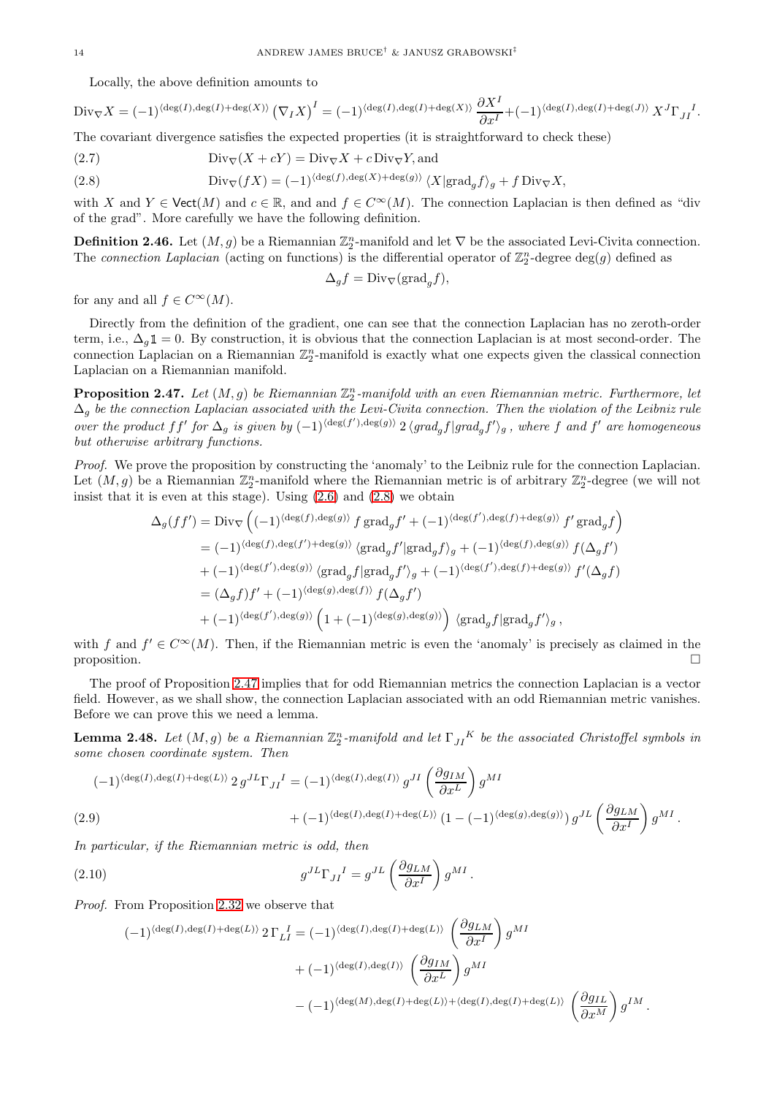Locally, the above definition amounts to

$$
\text{Div}_{\nabla} X = (-1)^{\langle \deg(I), \deg(I) + \deg(X) \rangle} \left( \nabla_I X \right)^I = (-1)^{\langle \deg(I), \deg(I) + \deg(X) \rangle} \frac{\partial X^I}{\partial x^I} + (-1)^{\langle \deg(I), \deg(I) + \deg(J) \rangle} X^J \Gamma_{JI}^I.
$$

The covariant divergence satisfies the expected properties (it is straightforward to check these)

(2.7) 
$$
\text{Div}_{\nabla}(X + cY) = \text{Div}_{\nabla}X + c\,\text{Div}_{\nabla}Y, \text{and}
$$

<span id="page-13-0"></span>(2.8) 
$$
\text{Div}_{\nabla}(fX) = (-1)^{\langle \deg(f), \deg(X) + \deg(g) \rangle} \langle X | \text{grad}_g f \rangle_g + f \text{Div}_{\nabla} X,
$$

with X and  $Y \in \text{Vect}(M)$  and  $c \in \mathbb{R}$ , and and  $f \in C^{\infty}(M)$ . The connection Laplacian is then defined as "div of the grad". More carefully we have the following definition.

**Definition 2.46.** Let  $(M, g)$  be a Riemannian  $\mathbb{Z}_2^n$ -manifold and let  $\nabla$  be the associated Levi-Civita connection. The connection Laplacian (acting on functions) is the differential operator of  $\mathbb{Z}_2^n$ -degree  $\deg(g)$  defined as

$$
\Delta_g f = \text{Div}_{\nabla}(\text{grad}_g f),
$$

for any and all  $f \in C^{\infty}(M)$ .

Directly from the definition of the gradient, one can see that the connection Laplacian has no zeroth-order term, i.e.,  $\Delta_q \mathbb{1} = 0$ . By construction, it is obvious that the connection Laplacian is at most second-order. The connection Laplacian on a Riemannian  $\mathbb{Z}_2^n$ -manifold is exactly what one expects given the classical connection Laplacian on a Riemannian manifold.

<span id="page-13-1"></span>**Proposition 2.47.** Let  $(M, g)$  be Riemannian  $\mathbb{Z}_2^n$ -manifold with an even Riemannian metric. Furthermore, let  $\Delta_g$  be the connection Laplacian associated with the Levi-Civita connection. Then the violation of the Leibniz rule over the product ff' for  $\Delta_g$  is given by  $(-1)^{\langle \deg(f'), \deg(g) \rangle}$  2  $\langle grad_g f | grad_g f' \rangle_g$ , where f and f' are homogeneous but otherwise arbitrary functions.

Proof. We prove the proposition by constructing the 'anomaly' to the Leibniz rule for the connection Laplacian. Let  $(M, g)$  be a Riemannian  $\mathbb{Z}_2^n$ -manifold where the Riemannian metric is of arbitrary  $\mathbb{Z}_2^n$ -degree (we will not insist that it is even at this stage). Using  $(2.6)$  and  $(2.8)$  we obtain

$$
\begin{split} \Delta_g(f f') & = \mathrm{Div}_\nabla \left( (-1)^{\langle \deg(f), \deg(g) \rangle} f \, \mathrm{grad}_g f' + (-1)^{\langle \deg(f'), \deg(f) + \deg(g) \rangle} f' \, \mathrm{grad}_g f \right) \\ & = (-1)^{\langle \deg(f), \deg(f') + \deg(g) \rangle} \, \langle \mathrm{grad}_g f' | \mathrm{grad}_g f \rangle_g + (-1)^{\langle \deg(f), \deg(g) \rangle} f(\Delta_g f') \\ & + (-1)^{\langle \deg(f'), \deg(g) \rangle} \, \langle \mathrm{grad}_g f | \mathrm{grad}_g f' \rangle_g + (-1)^{\langle \deg(f'), \deg(f) \rangle} f'(\Delta_g f) \\ & = (\Delta_g f) f' + (-1)^{\langle \deg(g), \deg(f) \rangle} f(\Delta_g f') \\ & + (-1)^{\langle \deg(f'), \deg(g) \rangle} \left( 1 + (-1)^{\langle \deg(g), \deg(g) \rangle} \right) \, \langle \mathrm{grad}_g f | \mathrm{grad}_g f' \rangle_g \, , \end{split}
$$

with f and  $f' \in C^{\infty}(M)$ . Then, if the Riemannian metric is even the 'anomaly' is precisely as claimed in the proposition.  $\Box$ 

The proof of Proposition [2.47](#page-13-1) implies that for odd Riemannian metrics the connection Laplacian is a vector field. However, as we shall show, the connection Laplacian associated with an odd Riemannian metric vanishes. Before we can prove this we need a lemma.

<span id="page-13-4"></span>**Lemma 2.48.** Let  $(M, g)$  be a Riemannian  $\mathbb{Z}_2^n$ -manifold and let  $\Gamma_{JI}^K$  be the associated Christoffel symbols in some chosen coordinate system. Then

$$
(-1)^{\langle \deg(I), \deg(I) + \deg(L) \rangle} 2 g^{JL} \Gamma_{JI}^I = (-1)^{\langle \deg(I), \deg(I) \rangle} g^{JI} \left( \frac{\partial g_{IM}}{\partial x^L} \right) g^{MI}
$$
  

$$
+ (-1)^{\langle \deg(I), \deg(I) + \deg(L) \rangle} (1 - (-1)^{\langle \deg(g), \deg(g) \rangle}) g^{JL} \left( \frac{\partial g_{LM}}{\partial x^I} \right) g^{MI}.
$$

<span id="page-13-3"></span>.

<span id="page-13-2"></span>In particular, if the Riemannian metric is odd, then

(2.10) 
$$
g^{JL}\Gamma_{JI}^{\quad I} = g^{JL}\left(\frac{\partial g_{LM}}{\partial x^I}\right)g^{MI}
$$

Proof. From Proposition [2.32](#page-10-3) we observe that

$$
\begin{split} (-1)^{\langle \deg(I), \deg(I)+\deg(L) \rangle} \, & 2 \, \Gamma_L I = (-1)^{\langle \deg(I), \deg(I)+\deg(L) \rangle} \, \left( \frac{\partial g_{LM}}{\partial x^I} \right) g^{MI} \\ & + (-1)^{\langle \deg(I), \deg(I) \rangle} \, \left( \frac{\partial g_{IM}}{\partial x^L} \right) g^{MI} \\ &- (-1)^{\langle \deg(M), \deg(I)+\deg(L) \rangle + \langle \deg(I), \deg(I)+\deg(L) \rangle} \, \left( \frac{\partial g_{IL}}{\partial x^M} \right) g^{IM} \, . \end{split}
$$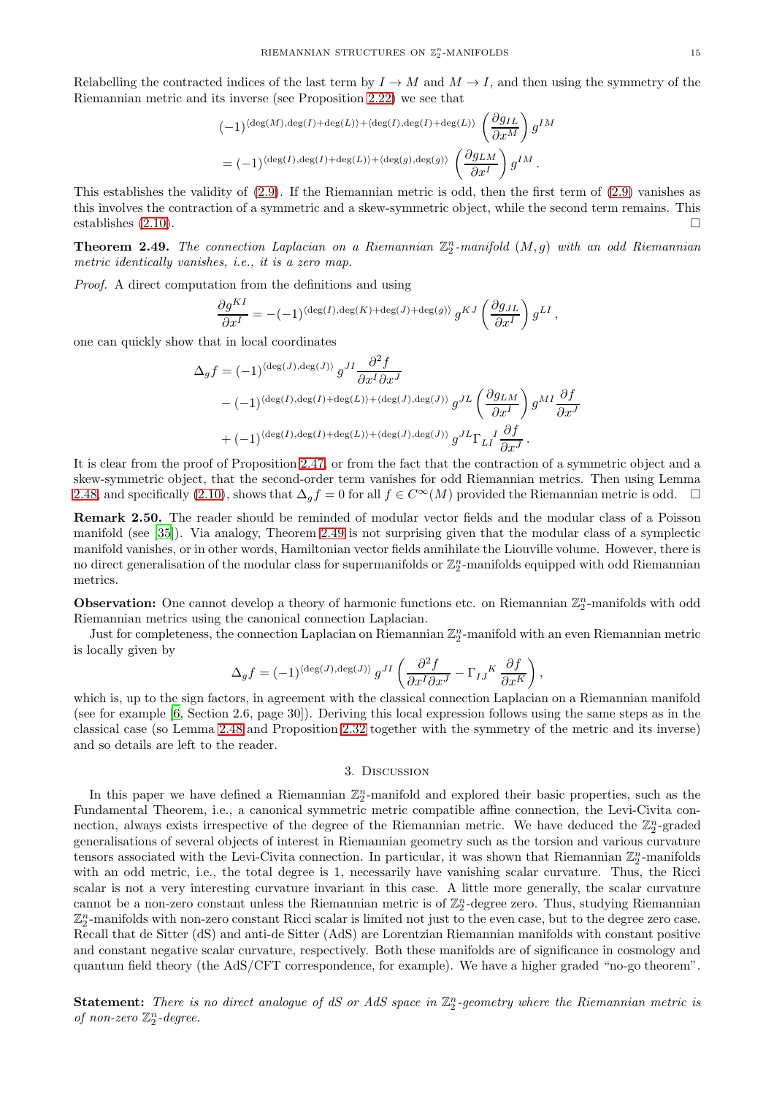Relabelling the contracted indices of the last term by  $I \to M$  and  $M \to I$ , and then using the symmetry of the Riemannian metric and its inverse (see Proposition [2.22\)](#page-7-2) we see that

$$
(-1)^{\langle \deg(M), \deg(I) + \deg(L) \rangle + \langle \deg(I), \deg(I) + \deg(L) \rangle} \left( \frac{\partial g_{IL}}{\partial x^M} \right) g^{IM}
$$
  
= 
$$
(-1)^{\langle \deg(I), \deg(I) + \deg(L) \rangle + \langle \deg(g), \deg(g) \rangle} \left( \frac{\partial g_{LM}}{\partial x^I} \right) g^{IM}.
$$

This establishes the validity of [\(2.9\)](#page-13-2). If the Riemannian metric is odd, then the first term of [\(2.9\)](#page-13-2) vanishes as this involves the contraction of a symmetric and a skew-symmetric object, while the second term remains. This establishes  $(2.10)$ .

<span id="page-14-1"></span>**Theorem 2.49.** The connection Laplacian on a Riemannian  $\mathbb{Z}_2^n$ -manifold  $(M, g)$  with an odd Riemannian metric identically vanishes, i.e., it is a zero map.

Proof. A direct computation from the definitions and using

$$
\frac{\partial g^{KI}}{\partial x^I} = -(-1)^{\langle \deg(I), \deg(K) + \deg(J) + \deg(g) \rangle} g^{KJ} \left( \frac{\partial g_{JL}}{\partial x^I} \right) g^{LI},
$$

one can quickly show that in local coordinates

$$
\Delta_g f = (-1)^{\langle \deg(J), \deg(J) \rangle} g^{JI} \frac{\partial^2 f}{\partial x^I \partial x^J}
$$
  
-  $(-1)^{\langle \deg(I), \deg(I) + \deg(L) \rangle + \langle \deg(J), \deg(J) \rangle} g^{JL} \left( \frac{\partial g_{LM}}{\partial x^I} \right) g^{MI} \frac{\partial f}{\partial x^J}$   
+  $(-1)^{\langle \deg(I), \deg(I) + \deg(L) \rangle + \langle \deg(J), \deg(J) \rangle} g^{JL} \Gamma_{LI} I \frac{\partial f}{\partial x^J}.$ 

It is clear from the proof of Proposition [2.47,](#page-13-1) or from the fact that the contraction of a symmetric object and a skew-symmetric object, that the second-order term vanishes for odd Riemannian metrics. Then using Lemma [2.48,](#page-13-4) and specifically [\(2.10\)](#page-13-3), shows that  $\Delta_q f = 0$  for all  $f \in C^{\infty}(M)$  provided the Riemannian metric is odd.  $\square$ 

Remark 2.50. The reader should be reminded of modular vector fields and the modular class of a Poisson manifold (see [\[35](#page-16-13)]). Via analogy, Theorem [2.49](#page-14-1) is not surprising given that the modular class of a symplectic manifold vanishes, or in other words, Hamiltonian vector fields annihilate the Liouville volume. However, there is no direct generalisation of the modular class for supermanifolds or  $\mathbb{Z}_2^n$ -manifolds equipped with odd Riemannian metrics.

**Observation:** One cannot develop a theory of harmonic functions etc. on Riemannian  $\mathbb{Z}_2^n$ -manifolds with odd Riemannian metrics using the canonical connection Laplacian.

Just for completeness, the connection Laplacian on Riemannian  $\mathbb{Z}_2^n$ -manifold with an even Riemannian metric is locally given by

$$
\Delta_g f = (-1)^{\langle \deg(J), \deg(J) \rangle} g^{JI} \left( \frac{\partial^2 f}{\partial x^I \partial x^J} - \Gamma_{IJ}^K \frac{\partial f}{\partial x^K} \right),
$$

which is, up to the sign factors, in agreement with the classical connection Laplacian on a Riemannian manifold (see for example [\[6](#page-15-22), Section 2.6, page 30]). Deriving this local expression follows using the same steps as in the classical case (so Lemma [2.48](#page-13-4) and Proposition [2.32](#page-10-3) together with the symmetry of the metric and its inverse) and so details are left to the reader.

#### 3. Discussion

<span id="page-14-0"></span>In this paper we have defined a Riemannian  $\mathbb{Z}_2^n$ -manifold and explored their basic properties, such as the Fundamental Theorem, i.e., a canonical symmetric metric compatible affine connection, the Levi-Civita connection, always exists irrespective of the degree of the Riemannian metric. We have deduced the  $\mathbb{Z}_2^n$ -graded generalisations of several objects of interest in Riemannian geometry such as the torsion and various curvature tensors associated with the Levi-Civita connection. In particular, it was shown that Riemannian  $\mathbb{Z}_2^n$ -manifolds with an odd metric, i.e., the total degree is 1, necessarily have vanishing scalar curvature. Thus, the Ricci scalar is not a very interesting curvature invariant in this case. A little more generally, the scalar curvature cannot be a non-zero constant unless the Riemannian metric is of  $\mathbb{Z}_2^n$ -degree zero. Thus, studying Riemannian  $\mathbb{Z}_2^n$ -manifolds with non-zero constant Ricci scalar is limited not just to the even case, but to the degree zero case. Recall that de Sitter (dS) and anti-de Sitter (AdS) are Lorentzian Riemannian manifolds with constant positive and constant negative scalar curvature, respectively. Both these manifolds are of significance in cosmology and quantum field theory (the AdS/CFT correspondence, for example). We have a higher graded "no-go theorem".

**Statement:** There is no direct analogue of  $dS$  or  $AdS$  space in  $\mathbb{Z}_2^n$ -geometry where the Riemannian metric is of non-zero  $\mathbb{Z}_2^n$ -degree.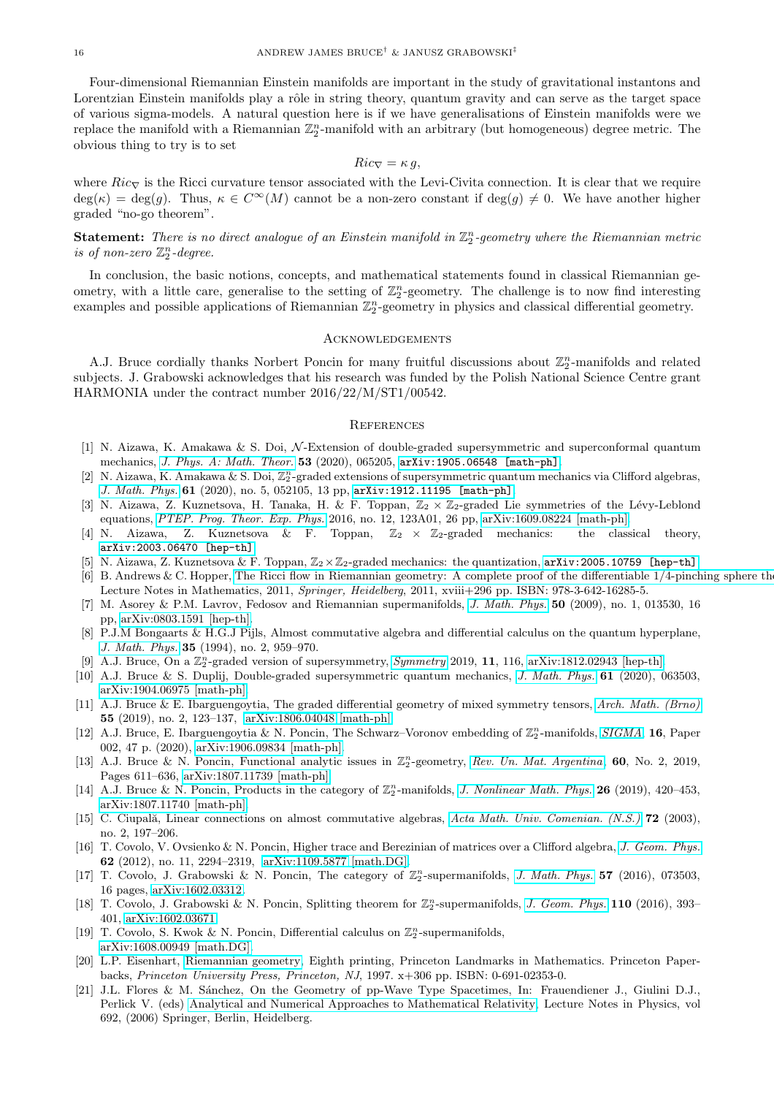Four-dimensional Riemannian Einstein manifolds are important in the study of gravitational instantons and Lorentzian Einstein manifolds play a rôle in string theory, quantum gravity and can serve as the target space of various sigma-models. A natural question here is if we have generalisations of Einstein manifolds were we replace the manifold with a Riemannian  $\mathbb{Z}_2^n$ -manifold with an arbitrary (but homogeneous) degree metric. The obvious thing to try is to set

$$
Ric_{\nabla} = \kappa g,
$$

where  $Ric<sub>\nabla</sub>$  is the Ricci curvature tensor associated with the Levi-Civita connection. It is clear that we require  $deg(\kappa) = deg(g)$ . Thus,  $\kappa \in C^{\infty}(M)$  cannot be a non-zero constant if  $deg(g) \neq 0$ . We have another higher graded "no-go theorem".

### **Statement:** There is no direct analogue of an Einstein manifold in  $\mathbb{Z}_2^n$ -geometry where the Riemannian metric is of non-zero  $\mathbb{Z}_2^n$ -degree.

In conclusion, the basic notions, concepts, and mathematical statements found in classical Riemannian geometry, with a little care, generalise to the setting of  $\mathbb{Z}_2^n$ -geometry. The challenge is to now find interesting examples and possible applications of Riemannian  $\mathbb{Z}_2^n$ -geometry in physics and classical differential geometry.

#### <span id="page-15-0"></span>Acknowledgements

A.J. Bruce cordially thanks Norbert Poncin for many fruitful discussions about  $\mathbb{Z}_2^n$ -manifolds and related subjects. J. Grabowski acknowledges that his research was funded by the Polish National Science Centre grant HARMONIA under the contract number 2016/22/M/ST1/00542.

#### <span id="page-15-1"></span>**REFERENCES**

- <span id="page-15-8"></span>[1] N. Aizawa, K. Amakawa & S. Doi, N-Extension of double-graded supersymmetric and superconformal quantum mechanics, *[J. Phys. A: Math. Theor.](https://doi.org/10.1088/1751-8121/ab661c)* 53 (2020), 065205, [arXiv:1905.06548 \[math-ph\]](https://arxiv.org/abs/1905.06548).
- <span id="page-15-9"></span>[2] N. Aizawa, K. Amakawa & S. Doi,  $\mathbb{Z}_2^n$ -graded extensions of supersymmetric quantum mechanics via Clifford algebras, *[J. Math. Phys.](https://doi.org/10.1063/1.5144325)* 61 (2020), no. 5, 052105, 13 pp, [arXiv:1912.11195 \[math-ph\]](https://arxiv.org/abs/1912.11195).
- <span id="page-15-10"></span>[3] N. Aizawa, Z. Kuznetsova, H. Tanaka, H. & F. Toppan,  $\mathbb{Z}_2 \times \mathbb{Z}_2$ -graded Lie symmetries of the Lévy-Leblond equations, *[PTEP. Prog. Theor. Exp. Phys.](https://doi.org/10.1093/ptep/ptw176)* 2016, no. 12, 123A01, 26 pp, [arXiv:1609.08224 \[math-ph\].](https://arxiv.org/abs/1609.08224)
- <span id="page-15-11"></span>[4] N. Aizawa, Z. Kuznetsova & F. Toppan,  $\mathbb{Z}_2 \times \mathbb{Z}_2$ -graded mechanics: the classical theory, [arXiv:2003.06470 \[hep-th\]](https://arxiv.org/abs/2003.06470).
- <span id="page-15-12"></span>N. Aizawa, Z. Kuznetsova & F. Toppan,  $\mathbb{Z}_2\times\mathbb{Z}_2$ -graded mechanics: the quantization,  $arXiv:2005.10759$  [hep-th].
- <span id="page-15-22"></span>[6] B. Andrews & C. Hopper, The Ricci flow in Riemannian geometry: A complete proof of the differentiable  $1/4$ -pinching sphere the Lecture Notes in Mathematics, 2011, *Springer, Heidelberg*, 2011, xviii+296 pp. ISBN: 978-3-642-16285-5.
- <span id="page-15-18"></span>[7] M. Asorey & P.M. Lavrov, Fedosov and Riemannian supermanifolds, *[J. Math. Phys.](https://doi.org/10.1063/1.3054867)* 50 (2009), no. 1, 013530, 16 pp, [arXiv:0803.1591 \[hep-th\].](https://arxiv.org/abs/0803.1591)
- <span id="page-15-16"></span>[8] P.J.M Bongaarts & H.G.J Pijls, Almost commutative algebra and differential calculus on the quantum hyperplane, *[J. Math. Phys.](https://doi.org/10.1063/1.530888)* 35 (1994), no. 2, 959–970.
- <span id="page-15-13"></span>[9] A.J. Bruce, On a  $\mathbb{Z}_2^n$ -graded version of supersymmetry, *[Symmetry](https://doi.org/10.3390/sym11010116)* 2019, 11, 116, [arXiv:1812.02943 \[hep-th\].](https://arxiv.org/abs/1812.02943)
- <span id="page-15-14"></span>[10] A.J. Bruce & S. Duplij, Double-graded supersymmetric quantum mechanics, *[J. Math. Phys.]( https://doi.org/10.1063/1.5118302)* 61 (2020), 063503, [arXiv:1904.06975 \[math-ph\].](https://arxiv.org/abs/1904.06975)
- <span id="page-15-15"></span>[11] A.J. Bruce & E. Ibarguengoytia, The graded differential geometry of mixed symmetry tensors, *[Arch. Math. \(Brno\)](https://doi.org/10.5817/AM2019-2-123)* 55 (2019), no. 2, 123–137, [arXiv:1806.04048](http://arxiv.org/abs/1806.04048) [\[math-ph\].](https://arxiv.org/abs/1806.04048)
- <span id="page-15-2"></span>[12] A.J. Bruce, E. Ibarguengoytia & N. Poncin, The Schwarz–Voronov embedding of  $\mathbb{Z}_2^n$ -manifolds, *[SIGMA](https://doi.org/10.3842/SIGMA.2020.002)*, 16, Paper 002, 47 p. (2020), [arXiv:1906.09834 \[math-ph\].](https://arxiv.org/abs/1906.09834)
- <span id="page-15-3"></span>[13] A.J. Bruce & N. Poncin, Functional analytic issues in  $\mathbb{Z}_2^n$ -geometry, [Rev. Un. Mat. Argentina](https://doi.org/10.33044/revuma.v60n2a21), 60, No. 2, 2019, Pages 611–636, [arXiv:1807.11739 \[math-ph\].](https://arxiv.org/abs/1807.11739)
- <span id="page-15-4"></span>[14] A.J. Bruce & N. Poncin, Products in the category of  $\mathbb{Z}_2^n$ -manifolds, *[J. Nonlinear Math. Phys.](https://doi.org/10.1080/14029251.2019.1613051)* **26** (2019), 420–453, [arXiv:1807.11740 \[math-ph\].](https://arxiv.org/abs/1807.11740)
- <span id="page-15-17"></span>[15] C. Ciupală, Linear connections on almost commutative algebras, *[Acta Math. Univ. Comenian. \(N.S.\)](http://emis.impa.br/EMIS/journals/AMUC/_vol-72/_no_2/_ciupala/ciupala.html)* **72** (2003), no. 2, 197–206.
- <span id="page-15-5"></span>[16] T. Covolo, V. Ovsienko & N. Poncin, Higher trace and Berezinian of matrices over a Clifford algebra, *[J. Geom. Phys.](https://doi.org/10.1016/j.geomphys.2012.07.004)* 62 (2012), no. 11, 2294–2319, [arXiv:1109.5877](http://arxiv.org/abs/1109.5877) [\[math.DG\].](https://arxiv.org/abs/1109.5877)
- <span id="page-15-6"></span>[17] T. Covolo, J. Grabowski & N. Poncin, The category of  $\mathbb{Z}_2^n$ -supermanifolds, *[J. Math. Phys.](https://doi.org/10.1063/1.4955416)* 57 (2016), 073503, 16 pages, [arXiv:1602.03312.](https://arxiv.org/abs/1602.03312)
- <span id="page-15-7"></span>[18] T. Covolo, J. Grabowski & N. Poncin, Splitting theorem for  $\mathbb{Z}_2^n$ -supermanifolds, *[J. Geom. Phys.](https://doi.org/10.1016/j.geomphys.2016.09.006)* **110** (2016), 393– 401, [arXiv:1602.03671.](https://arxiv.org/abs/1602.03671)
- <span id="page-15-19"></span>[19] T. Covolo, S. Kwok & N. Poncin, Differential calculus on  $\mathbb{Z}_2^n$ -supermanifolds, [arXiv:1608.00949 \[math.DG\].](https://arxiv.org/abs/1608.00949)
- <span id="page-15-20"></span>[20] L.P. Eisenhart, [Riemannian geometry,](https://www.jstor.org/stable/j.ctt1cx3vd7) Eighth printing, Princeton Landmarks in Mathematics. Princeton Paperbacks, *Princeton University Press, Princeton, NJ*, 1997. x+306 pp. ISBN: 0-691-02353-0.
- <span id="page-15-21"></span>[21] J.L. Flores & M. S´anchez, On the Geometry of pp-Wave Type Spacetimes, In: Frauendiener J., Giulini D.J., Perlick V. (eds) [Analytical and Numerical Approaches to Mathematical Relativity,](https://doi.org/10.1007/3-540-33484-X_4) Lecture Notes in Physics, vol 692, (2006) Springer, Berlin, Heidelberg.